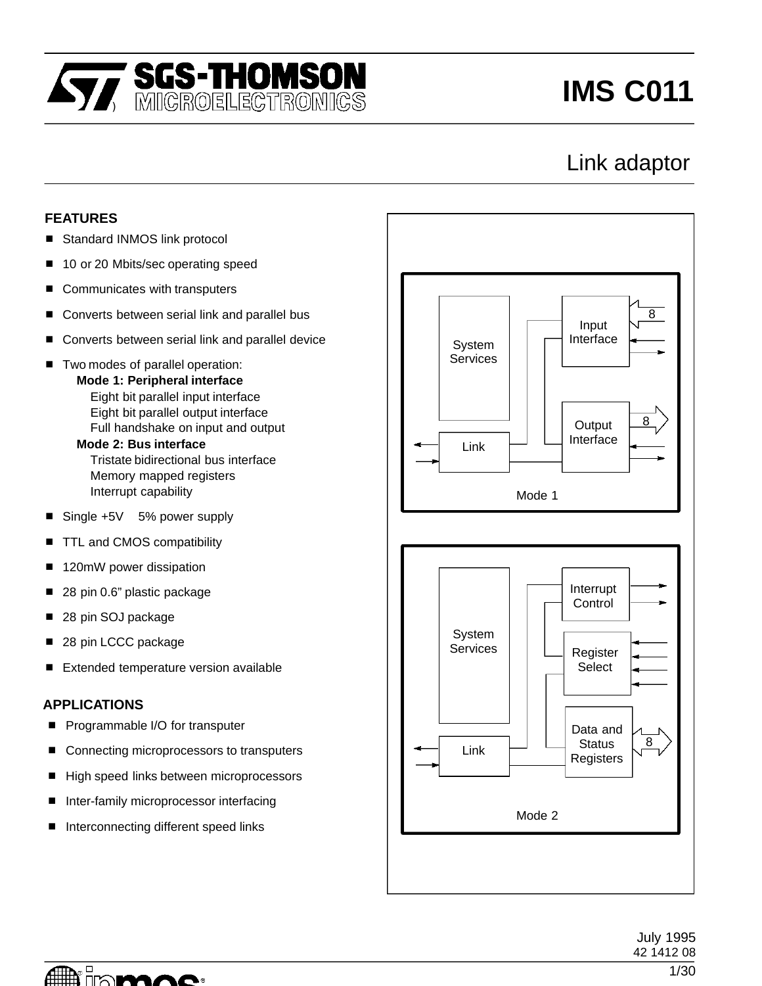

# **IMS C011**

## Link adaptor

#### **FEATURES**

- $\overline{a}$ Standard INMOS link protocol
- $\overline{a}$ 10 or 20 Mbits/sec operating speed
- $\overline{a}$ Communicates with transputers
- $\overline{a}$ Converts between serial link and parallel bus
- $\overline{a}$ Converts between serial link and parallel device
- $\overline{a}$  Two modes of parallel operation: **Mode 1: Peripheral interface** Eight bit parallel input interface Eight bit parallel output interface Full handshake on input and output **Mode 2: Bus interface** Tristate bidirectional bus interface Memory mapped registers

Interrupt capability

- L Single +5V 5% power supply
- $\overline{a}$ TTL and CMOS compatibility
- $\overline{a}$ 120mW power dissipation
- $\overline{a}$ 28 pin 0.6" plastic package
- $\overline{a}$ 28 pin SOJ package
- $\overline{a}$ 28 pin LCCC package
- $\overline{a}$ Extended temperature version available

#### **APPLICATIONS**

- $\overline{a}$ Programmable I/O for transputer
- $\overline{a}$ Connecting microprocessors to transputers
- High speed links between microprocessors
- $\overline{a}$ Inter-family microprocessor interfacing
- $\overline{a}$ Interconnecting different speed links



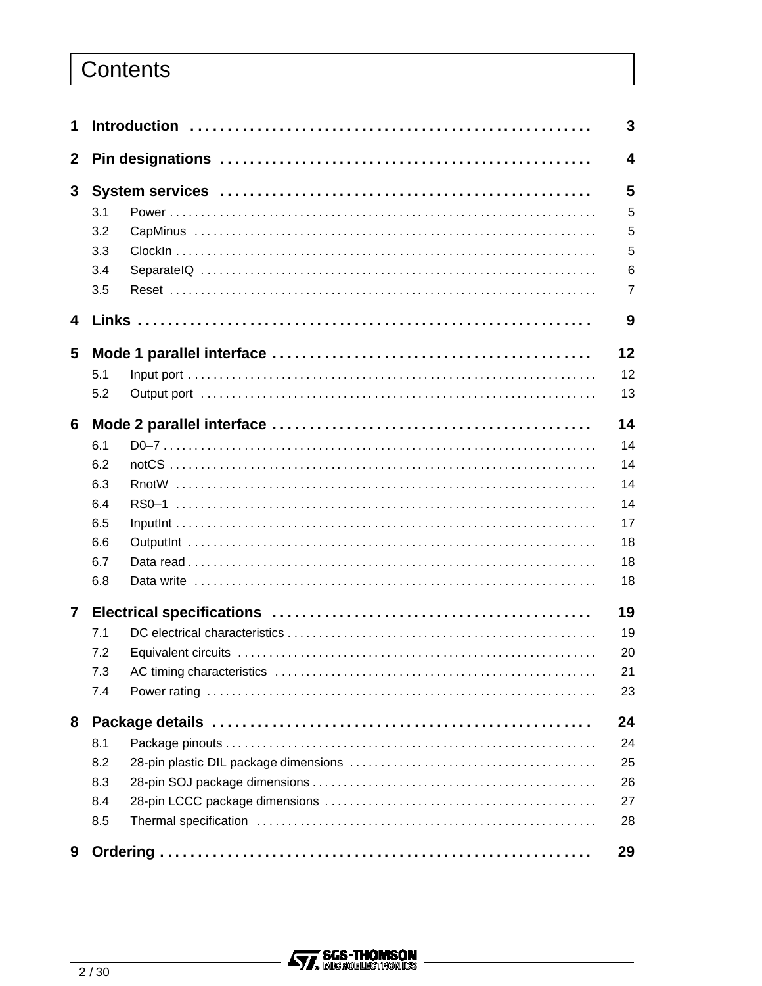## Contents

| 1                       | 3   |  |                         |  |  |  |  |
|-------------------------|-----|--|-------------------------|--|--|--|--|
| $\mathbf{2}$            |     |  | $\overline{\mathbf{4}}$ |  |  |  |  |
| $3\phantom{a}$          |     |  |                         |  |  |  |  |
|                         | 3.1 |  | 5                       |  |  |  |  |
|                         | 3.2 |  | 5                       |  |  |  |  |
|                         | 3.3 |  | 5                       |  |  |  |  |
|                         | 3.4 |  | 6                       |  |  |  |  |
|                         | 3.5 |  | $\overline{7}$          |  |  |  |  |
| $\overline{\mathbf{4}}$ |     |  | 9                       |  |  |  |  |
| 5                       |     |  | 12                      |  |  |  |  |
|                         | 5.1 |  | 12                      |  |  |  |  |
|                         | 5.2 |  | 13                      |  |  |  |  |
| 6                       |     |  | 14                      |  |  |  |  |
|                         | 6.1 |  | 14                      |  |  |  |  |
|                         | 6.2 |  | 14                      |  |  |  |  |
|                         | 6.3 |  | 14                      |  |  |  |  |
|                         | 6.4 |  | 14                      |  |  |  |  |
|                         | 6.5 |  | 17                      |  |  |  |  |
|                         | 6.6 |  | 18                      |  |  |  |  |
|                         | 6.7 |  | 18                      |  |  |  |  |
|                         | 6.8 |  | 18                      |  |  |  |  |
| 7                       |     |  | 19                      |  |  |  |  |
|                         | 7.1 |  | 19                      |  |  |  |  |
|                         | 7.2 |  | 20                      |  |  |  |  |
|                         | 7.3 |  | 21                      |  |  |  |  |
|                         | 7.4 |  | 23                      |  |  |  |  |
| 8                       |     |  | 24                      |  |  |  |  |
|                         | 8.1 |  | 24                      |  |  |  |  |
|                         | 8.2 |  | 25                      |  |  |  |  |
|                         | 8.3 |  | 26                      |  |  |  |  |
|                         | 8.4 |  | 27                      |  |  |  |  |
|                         | 8.5 |  | 28                      |  |  |  |  |
| 9                       |     |  | 29                      |  |  |  |  |

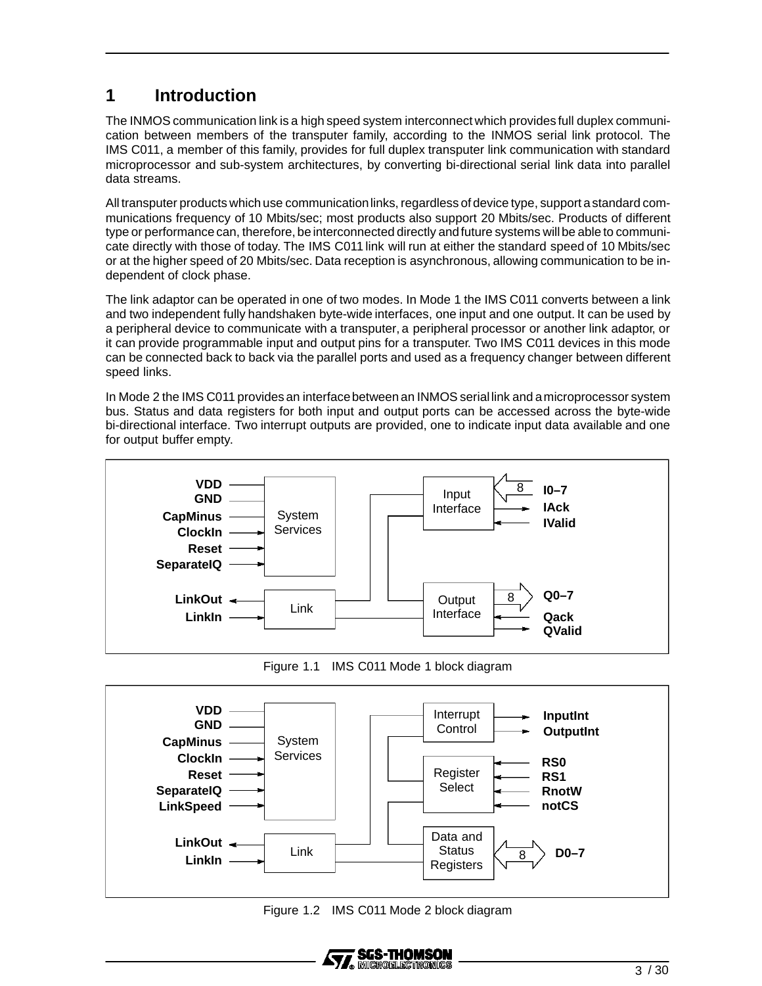## **1 Introduction**

The INMOS communication link is a high speed system interconnect which provides full duplex communication between members of the transputer family, according to the INMOS serial link protocol. The IMS C011, a member of this family, provides for full duplex transputer link communication with standard microprocessor and sub-system architectures, by converting bi-directional serial link data into parallel data streams.

All transputer products which use communication links, regardless of device type, support a standard communications frequency of 10 Mbits/sec; most products also support 20 Mbits/sec. Products of different type or performance can, therefore, be interconnected directly andfuture systems willbe able to communicate directly with those of today. The IMS C011 link will run at either the standard speed of 10 Mbits/sec or at the higher speed of 20 Mbits/sec. Data reception is asynchronous, allowing communication to be independent of clock phase.

The link adaptor can be operated in one of two modes. In Mode 1 the IMS C011 converts between a link and two independent fully handshaken byte-wide interfaces, one input and one output. It can be used by a peripheral device to communicate with a transputer, a peripheral processor or another link adaptor, or it can provide programmable input and output pins for a transputer. Two IMS C011 devices in this mode can be connected back to back via the parallel ports and used as a frequency changer between different speed links.

In Mode 2 the IMS C011 provides an interface between an INMOS serial link and a microprocessor system bus. Status and data registers for both input and output ports can be accessed across the byte-wide bi-directional interface. Two interrupt outputs are provided, one to indicate input data available and one for output buffer empty.



Figure 1.1 IMS C011 Mode 1 block diagram



Figure 1.2 IMS C011 Mode 2 block diagram

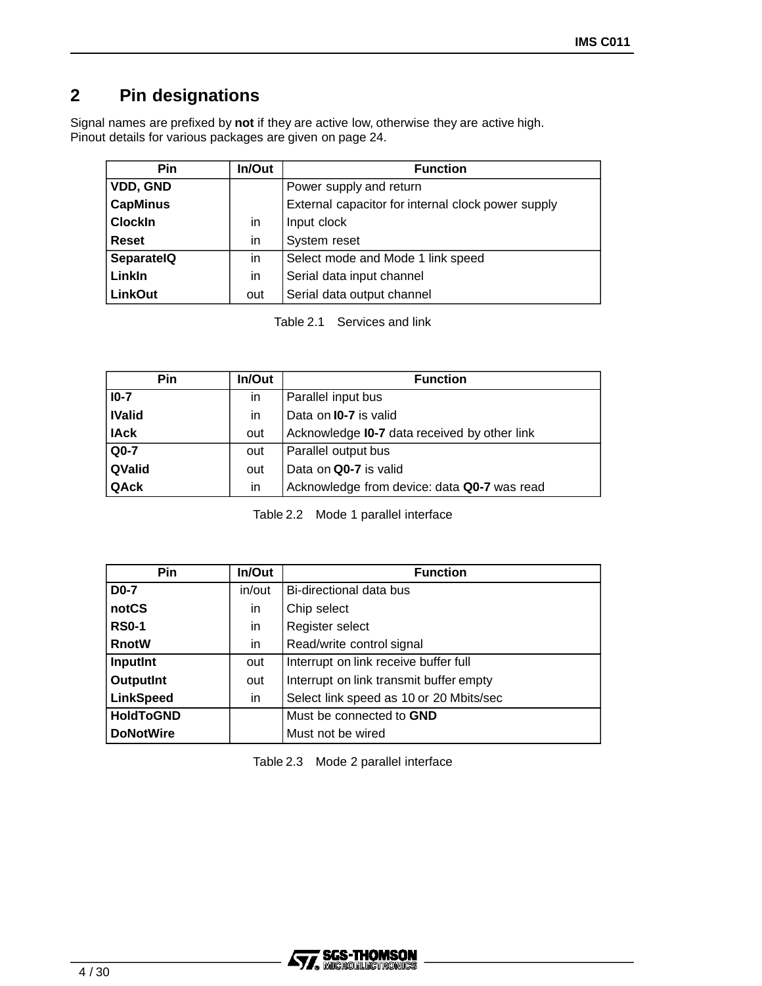## **2 Pin designations**

Signal names are prefixed by **not** if they are active low, otherwise they are active high. Pinout details for various packages are given on page 24.

| <b>Pin</b>        | In/Out | <b>Function</b>                                    |
|-------------------|--------|----------------------------------------------------|
| VDD, GND          |        | Power supply and return                            |
| <b>CapMinus</b>   |        | External capacitor for internal clock power supply |
| <b>Clockin</b>    | in     | Input clock                                        |
| <b>Reset</b>      | in     | System reset                                       |
| <b>SeparatelQ</b> | in     | Select mode and Mode 1 link speed                  |
| Linkin            | in     | Serial data input channel                          |
| <b>LinkOut</b>    | out    | Serial data output channel                         |

Table 2.1 Services and link

| Pin           | In/Out | <b>Function</b>                                     |
|---------------|--------|-----------------------------------------------------|
| $10-7$        | in.    | Parallel input bus                                  |
| <b>IValid</b> | in     | Data on <b>I0-7</b> is valid                        |
| <b>IAck</b>   | out    | Acknowledge <b>I0-7</b> data received by other link |
| $Q0-7$        | out    | Parallel output bus                                 |
| QValid        | out    | Data on Q0-7 is valid                               |
| QAck          | in     | Acknowledge from device: data Q0-7 was read         |

Table 2.2 Mode 1 parallel interface

| <b>Pin</b>       | In/Out | <b>Function</b>                         |
|------------------|--------|-----------------------------------------|
| <b>D0-7</b>      | in/out | Bi-directional data bus                 |
| notCS            | in     | Chip select                             |
| <b>RS0-1</b>     | in     | Register select                         |
| <b>RnotW</b>     | in     | Read/write control signal               |
| InputInt         | out    | Interrupt on link receive buffer full   |
| <b>OutputInt</b> | out    | Interrupt on link transmit buffer empty |
| <b>LinkSpeed</b> | in     | Select link speed as 10 or 20 Mbits/sec |
| <b>HoldToGND</b> |        | Must be connected to <b>GND</b>         |
| <b>DoNotWire</b> |        | Must not be wired                       |

Table 2.3 Mode 2 parallel interface

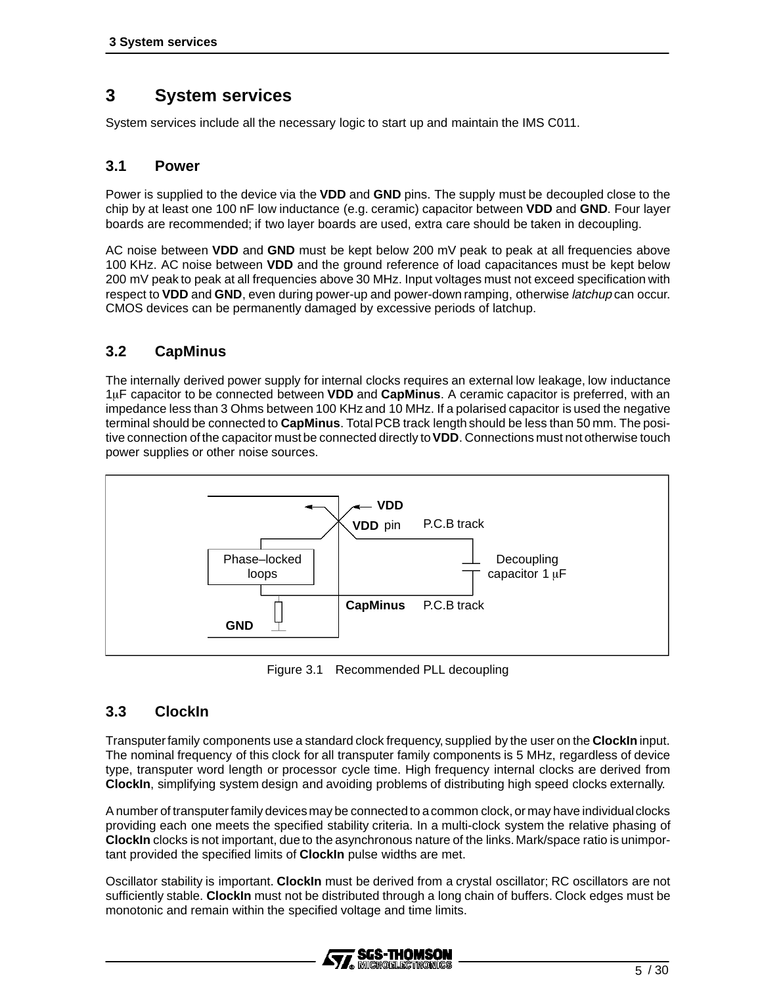## **3 System services**

System services include all the necessary logic to start up and maintain the IMS C011.

#### **3.1 Power**

Power is supplied to the device via the **VDD** and **GND** pins. The supply must be decoupled close to the chip by at least one 100 nF low inductance (e.g. ceramic) capacitor between **VDD** and **GND**. Four layer boards are recommended; if two layer boards are used, extra care should be taken in decoupling.

AC noise between **VDD** and **GND** must be kept below 200 mV peak to peak at all frequencies above 100 KHz. AC noise between **VDD** and the ground reference of load capacitances must be kept below 200 mV peak to peak at all frequencies above 30 MHz. Input voltages must not exceed specification with respect to **VDD** and **GND**, even during power-up and power-down ramping, otherwise latchup can occur. CMOS devices can be permanently damaged by excessive periods of latchup.

## **3.2 CapMinus**

The internally derived power supply for internal clocks requires an external low leakage, low inductance 1F capacitor to be connected between **VDD** and **CapMinus**. A ceramic capacitor is preferred, with an impedance less than 3 Ohms between 100 KHz and 10 MHz. If a polarised capacitor is used the negative terminal should be connected to **CapMinus**. Total PCB track length should be less than 50 mm. The positive connection ofthe capacitor mustbe connected directly to**VDD**. Connections must not otherwise touch power supplies or other noise sources.



Figure 3.1 Recommended PLL decoupling

#### **3.3 ClockIn**

Transputerfamily components use a standard clock frequency, supplied by the user on the **ClockIn** input. The nominal frequency of this clock for all transputer family components is 5 MHz, regardless of device type, transputer word length or processor cycle time. High frequency internal clocks are derived from **ClockIn**, simplifying system design and avoiding problems of distributing high speed clocks externally.

A number of transputer family devices may be connected to a common clock, or may have individual clocks providing each one meets the specified stability criteria. In a multi-clock system the relative phasing of **ClockIn** clocks is not important, due to the asynchronous nature of the links.Mark/space ratio is unimportant provided the specified limits of **ClockIn** pulse widths are met.

Oscillator stability is important. **ClockIn** must be derived from a crystal oscillator; RC oscillators are not sufficiently stable. **ClockIn** must not be distributed through a long chain of buffers. Clock edges must be monotonic and remain within the specified voltage and time limits.

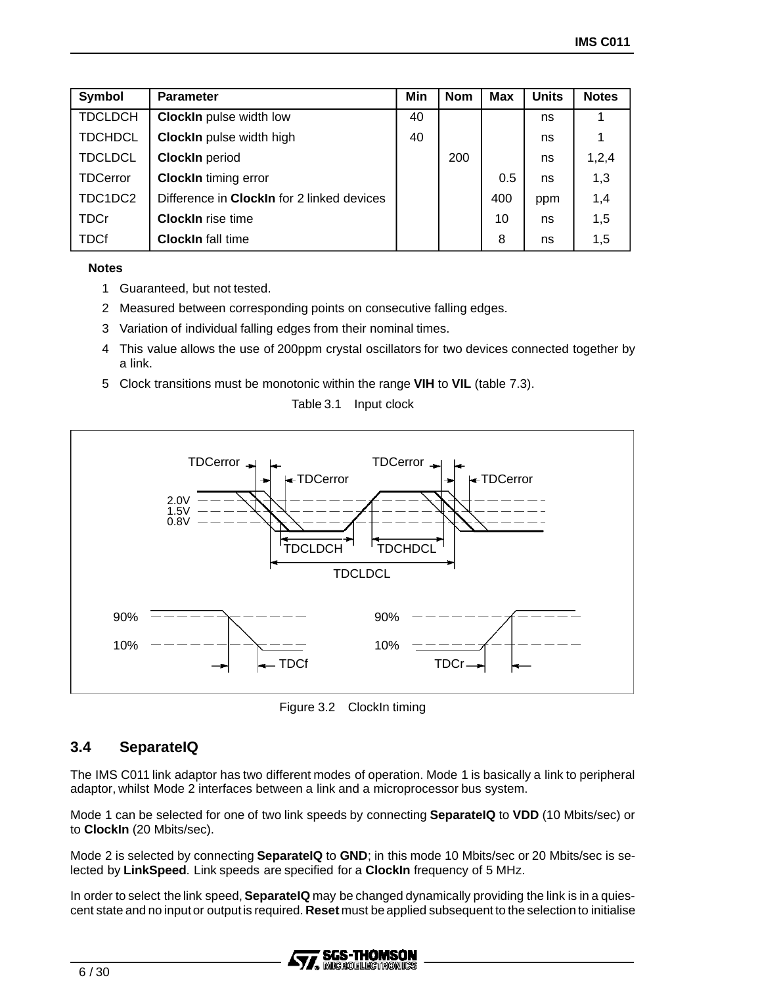| Symbol          | <b>Parameter</b>                                  | Min | <b>Nom</b> | <b>Max</b> | <b>Units</b> | <b>Notes</b> |
|-----------------|---------------------------------------------------|-----|------------|------------|--------------|--------------|
| <b>TDCLDCH</b>  | <b>ClockIn</b> pulse width low                    | 40  |            |            | ns           |              |
| <b>TDCHDCL</b>  | <b>ClockIn</b> pulse width high                   |     |            |            | ns           |              |
| <b>TDCLDCL</b>  | <b>ClockIn</b> period                             |     | 200        |            | ns           | 1,2,4        |
| <b>TDCerror</b> | <b>ClockIn timing error</b>                       |     |            | 0.5        | ns           | 1,3          |
| TDC1DC2         | Difference in <b>ClockIn</b> for 2 linked devices |     |            | 400        | ppm          | 1,4          |
| <b>TDCr</b>     | <b>ClockIn</b> rise time                          |     |            | 10         | ns           | 1,5          |
| <b>TDCf</b>     | <b>ClockIn</b> fall time                          |     |            | 8          | ns           | 1,5          |

#### **Notes**

- 1 Guaranteed, but not tested.
- 2 Measured between corresponding points on consecutive falling edges.
- 3 Variation of individual falling edges from their nominal times.
- 4 This value allows the use of 200ppm crystal oscillators for two devices connected together by a link.
- 5 Clock transitions must be monotonic within the range **VIH** to **VIL** (table 7.3).

Table 3.1 Input clock



Figure 3.2 ClockIn timing

#### **3.4 SeparateIQ**

The IMS C011 link adaptor has two different modes of operation. Mode 1 is basically a link to peripheral adaptor, whilst Mode 2 interfaces between a link and a microprocessor bus system.

Mode 1 can be selected for one of two link speeds by connecting **SeparateIQ** to **VDD** (10 Mbits/sec) or to **ClockIn** (20 Mbits/sec).

Mode 2 is selected by connecting **SeparateIQ** to **GND**; in this mode 10 Mbits/sec or 20 Mbits/sec is selected by **LinkSpeed**. Link speeds are specified for a **ClockIn** frequency of 5 MHz.

In order to select the link speed,**SeparateIQ** may be changed dynamically providing the link is in a quiescent state and no inputor outputis required. **Reset** must be applied subsequent to the selection to initialise

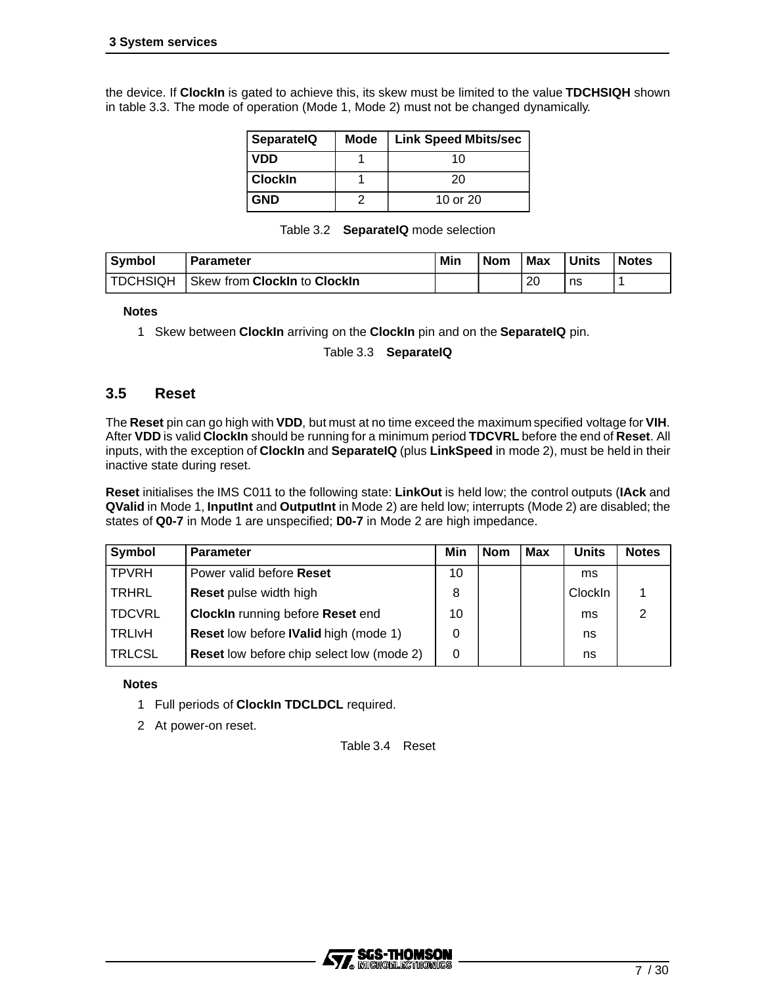the device. If **ClockIn** is gated to achieve this, its skew must be limited to the value **TDCHSIQH** shown in table 3.3. The mode of operation (Mode 1, Mode 2) must not be changed dynamically.

| <b>SeparatelQ</b> | <b>Mode</b> | <b>Link Speed Mbits/sec</b> |
|-------------------|-------------|-----------------------------|
| <b>VDD</b>        |             | 10                          |
| <b>Clockin</b>    |             | 20                          |
| <b>GND</b>        |             | 10 or 20                    |

|  |  | Table 3.2 <b>SeparatelQ</b> mode selection |
|--|--|--------------------------------------------|
|--|--|--------------------------------------------|

| <b>Symbol</b> | <b>Parameter</b>             | Min | <b>Nom</b> | <b>Max</b> | Units | <b>Notes</b> |
|---------------|------------------------------|-----|------------|------------|-------|--------------|
| TDCHSIQH      | Skew from Clockin to Clockin |     |            | 20         | ns    |              |

#### **Notes**

1 Skew between **ClockIn** arriving on the **ClockIn** pin and on the **SeparateIQ** pin.

Table 3.3 **SeparateIQ**

#### **3.5 Reset**

The **Reset** pin can go high with **VDD**, but must at no time exceed the maximum specified voltage for **VIH**. After **VDD** is valid **ClockIn** should be running for a minimum period **TDCVRL** before the end of **Reset**. All inputs, with the exception of **ClockIn** and **SeparateIQ** (plus **LinkSpeed** in mode 2), must be held in their inactive state during reset.

**Reset** initialises the IMS C011 to the following state: **LinkOut** is held low; the control outputs (**IAck** and **QValid** in Mode 1, **InputInt** and **OutputInt** in Mode 2) are held low; interrupts (Mode 2) are disabled; the states of **Q0-7** in Mode 1 are unspecified; **D0-7** in Mode 2 are high impedance.

| Symbol        | <b>Parameter</b>                                 | Min | <b>Nom</b> | <b>Max</b> | <b>Units</b> | <b>Notes</b> |
|---------------|--------------------------------------------------|-----|------------|------------|--------------|--------------|
| <b>TPVRH</b>  | Power valid before Reset                         | 10  |            |            | ms           |              |
| TRHRL         | <b>Reset</b> pulse width high                    | 8   |            |            | ClockIn      |              |
| <b>TDCVRL</b> | <b>ClockIn running before Reset end</b>          | 10  |            |            | ms           |              |
| <b>TRLIVH</b> | <b>Reset low before IValid high (mode 1)</b>     | 0   |            |            | ns           |              |
| <b>TRLCSL</b> | <b>Reset low before chip select low (mode 2)</b> | 0   |            |            | ns           |              |

#### **Notes**

- 1 Full periods of **ClockIn TDCLDCL** required.
- 2 At power-on reset.

Table 3.4 Reset

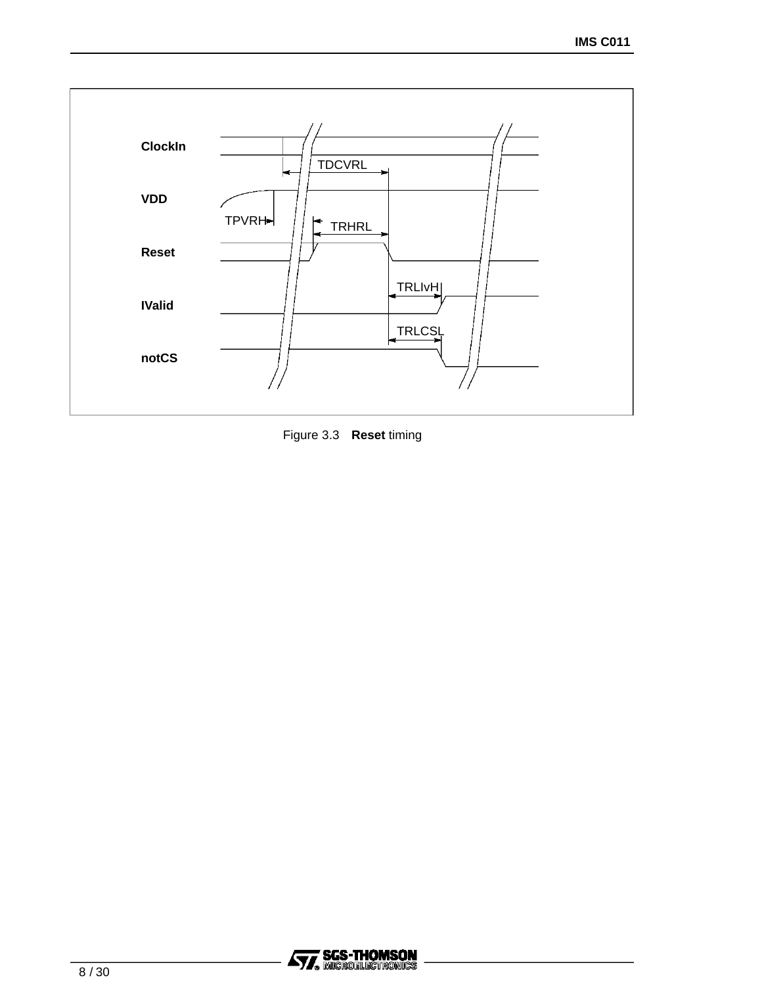

Figure 3.3 **Reset** timing

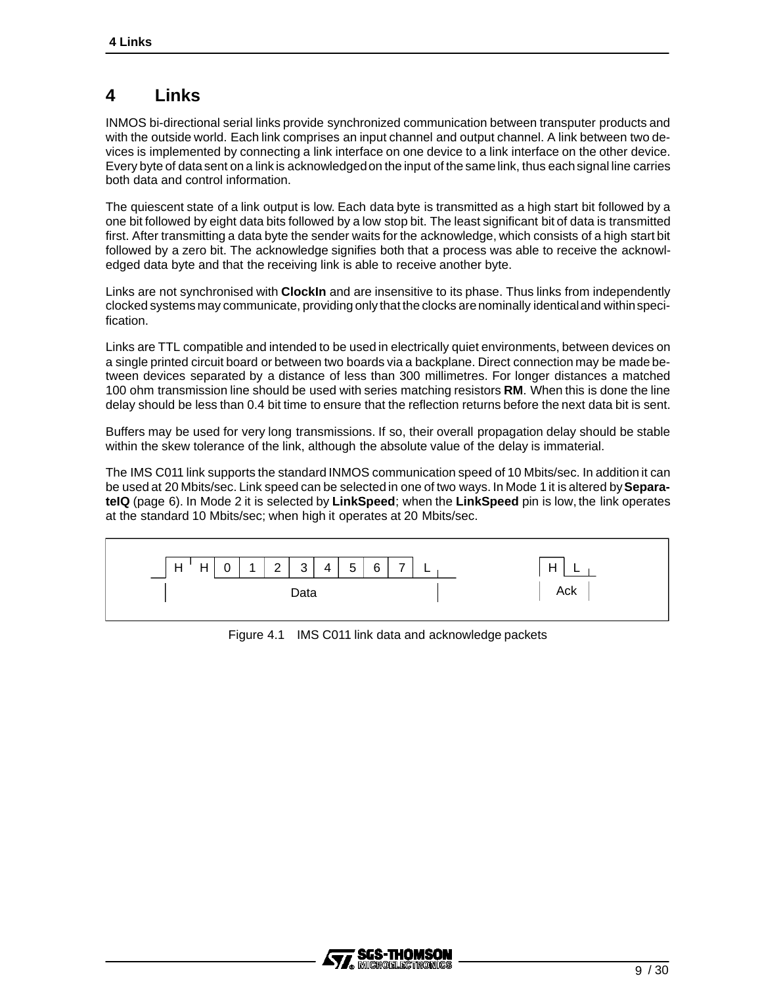## **4 Links**

INMOS bi-directional serial links provide synchronized communication between transputer products and with the outside world. Each link comprises an input channel and output channel. A link between two devices is implemented by connecting a link interface on one device to a link interface on the other device. Every byte of data sent on a link is acknowledgedon the input of the same link, thus eachsignal line carries both data and control information.

The quiescent state of a link output is low. Each data byte is transmitted as a high start bit followed by a one bit followed by eight data bits followed by a low stop bit. The least significant bit of data is transmitted first. After transmitting a data byte the sender waits for the acknowledge, which consists of a high start bit followed by a zero bit. The acknowledge signifies both that a process was able to receive the acknowledged data byte and that the receiving link is able to receive another byte.

Links are not synchronised with **ClockIn** and are insensitive to its phase. Thus links from independently clocked systems may communicate, providing only that the clocks are nominally identicaland withinspecification.

Links are TTL compatible and intended to be used in electrically quiet environments, between devices on a single printed circuit board or between two boards via a backplane. Direct connection may be made between devices separated by a distance of less than 300 millimetres. For longer distances a matched 100 ohm transmission line should be used with series matching resistors **RM**. When this is done the line delay should be less than 0.4 bit time to ensure that the reflection returns before the next data bit is sent.

Buffers may be used for very long transmissions. If so, their overall propagation delay should be stable within the skew tolerance of the link, although the absolute value of the delay is immaterial.

The IMS C011 link supports the standard INMOS communication speed of 10 Mbits/sec. In addition it can be used at 20 Mbits/sec. Link speed can be selected in one of two ways. In Mode 1 it is altered by**SeparateIQ** (page 6). In Mode 2 it is selected by **LinkSpeed**; when the **LinkSpeed** pin is low, the link operates at the standard 10 Mbits/sec; when high it operates at 20 Mbits/sec.



Figure 4.1 IMS C011 link data and acknowledge packets

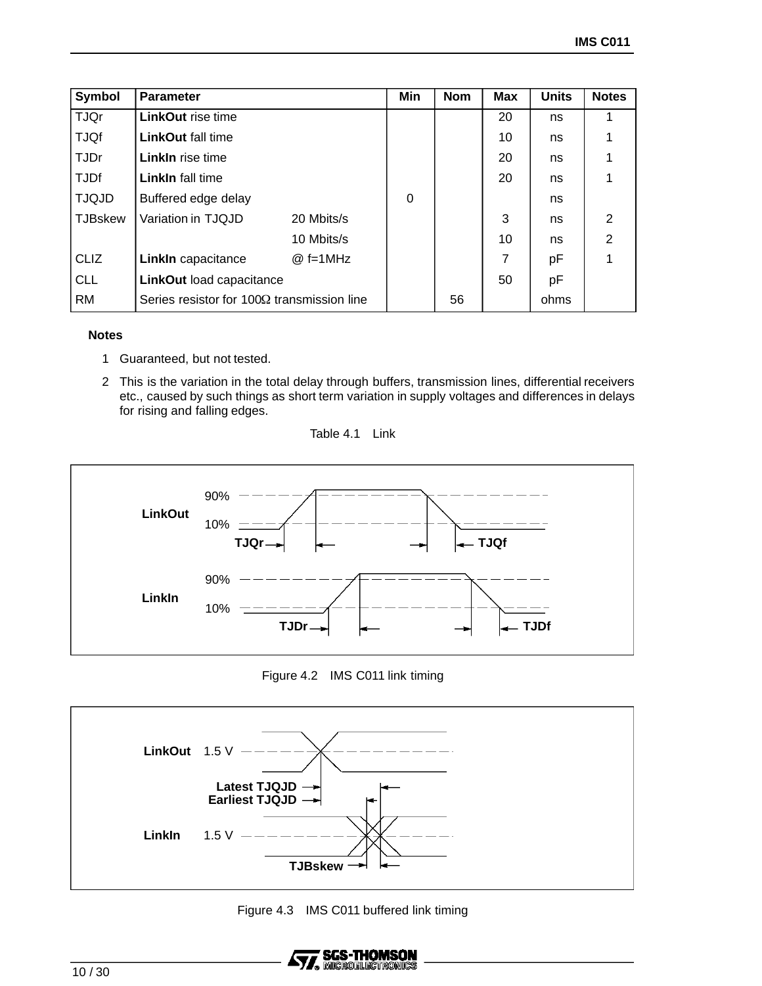| Symbol         | <b>Parameter</b>                                  |            | Min | <b>Nom</b> | <b>Max</b>     | <b>Units</b> | <b>Notes</b>   |
|----------------|---------------------------------------------------|------------|-----|------------|----------------|--------------|----------------|
| <b>TJQr</b>    | <b>LinkOut rise time</b>                          |            |     |            | 20             | ns           |                |
| <b>TJQf</b>    | <b>LinkOut fall time</b>                          |            |     |            | 10             | ns           |                |
| <b>TJDr</b>    | <b>Linkln</b> rise time                           |            |     |            | 20             | ns           |                |
| <b>TJDf</b>    | <b>Linkln</b> fall time                           |            |     |            | 20             | ns           |                |
| <b>TJQJD</b>   | Buffered edge delay                               |            | 0   |            |                | ns           |                |
| <b>TJBskew</b> | Variation in TJQJD                                | 20 Mbits/s |     |            | 3              | ns           | 2              |
|                |                                                   | 10 Mbits/s |     |            | 10             | ns           | $\overline{2}$ |
| <b>CLIZ</b>    | Linkin capacitance                                | $@f=1MHz$  |     |            | $\overline{7}$ | рF           |                |
| <b>CLL</b>     | LinkOut load capacitance                          |            |     |            | 50             | pF           |                |
| <b>RM</b>      | Series resistor for $100\Omega$ transmission line |            |     | 56         |                | ohms         |                |

#### **Notes**

- 1 Guaranteed, but not tested.
- 2 This is the variation in the total delay through buffers, transmission lines, differential receivers etc., caused by such things as short term variation in supply voltages and differences in delays for rising and falling edges.

Table 4.1 Link



Figure 4.2 IMS C011 link timing



Figure 4.3 IMS C011 buffered link timing

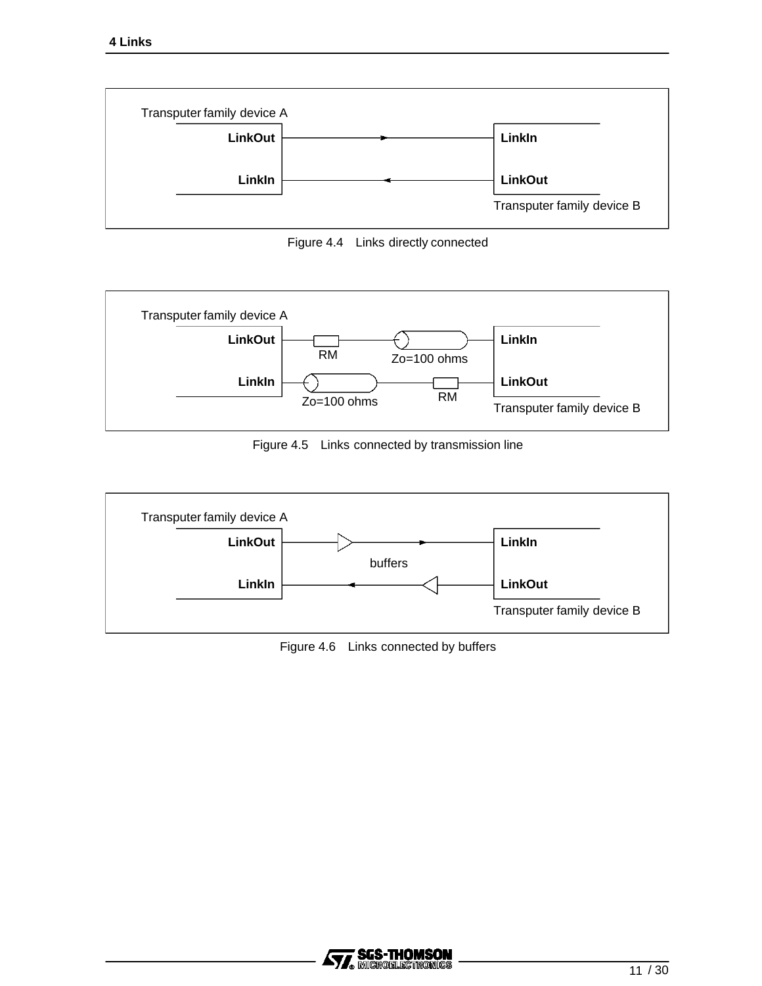

Figure 4.4 Links directly connected



Figure 4.5 Links connected by transmission line



Figure 4.6 Links connected by buffers

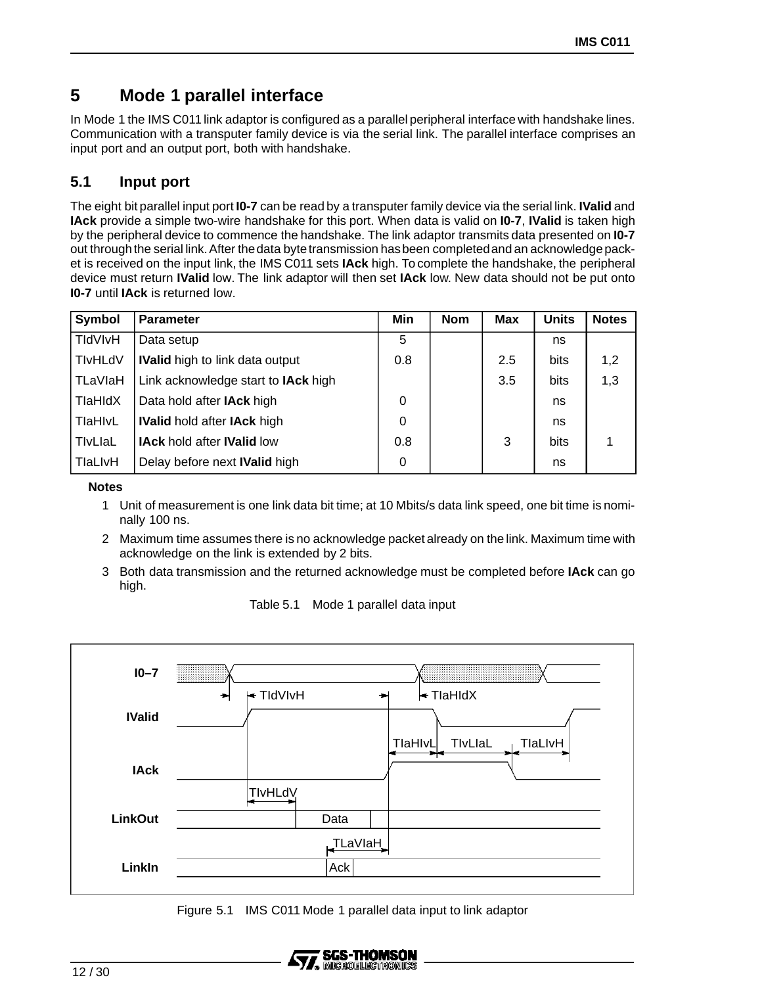## **5 Mode 1 parallel interface**

In Mode 1 the IMS C011 link adaptor is configured as a parallel peripheral interface with handshake lines. Communication with a transputer family device is via the serial link. The parallel interface comprises an input port and an output port, both with handshake.

## **5.1 Input port**

The eight bit parallel input port **I0-7** can be read by a transputer family device via the serial link. **IValid** and **IAck** provide a simple two-wire handshake for this port. When data is valid on **I0-7**, **IValid** is taken high by the peripheral device to commence the handshake. The link adaptor transmits data presented on **I0-7** out through the serial link. After the data byte transmission has been completed and an acknowledge packet is received on the input link, the IMS C011 sets **IAck** high. To complete the handshake, the peripheral device must return **IValid** low. The link adaptor will then set **IAck** low. New data should not be put onto **I0-7** until **IAck** is returned low.

| Symbol         | <b>Parameter</b>                       | Min | <b>Nom</b> | <b>Max</b> | <b>Units</b> | <b>Notes</b> |
|----------------|----------------------------------------|-----|------------|------------|--------------|--------------|
| TIdVIvH        | Data setup                             | 5   |            |            | ns           |              |
| <b>TIvHLdV</b> | <b>IValid</b> high to link data output | 0.8 |            | 2.5        | bits         | 1,2          |
| TLaVlaH        | Link acknowledge start to IAck high    |     |            | 3.5        | bits         | 1,3          |
| <b>TlaHIdX</b> | Data hold after <b>IAck</b> high       | 0   |            |            | ns           |              |
| TlaHlvL        | <b>IValid hold after IAck high</b>     | 0   |            |            | ns           |              |
| TivLiaL        | <b>IAck hold after IValid low</b>      | 0.8 |            | 3          | bits         |              |
| TlaLIvH        | Delay before next <b>IValid</b> high   | 0   |            |            | ns           |              |

**Notes**

- 1 Unit of measurement is one link data bit time; at 10 Mbits/s data link speed, one bit time is nominally 100 ns.
- 2 Maximum time assumes there is no acknowledge packet already on the link. Maximum time with acknowledge on the link is extended by 2 bits.
- 3 Both data transmission and the returned acknowledge must be completed before **IAck** can go high.



Table 5.1 Mode 1 parallel data input

Figure 5.1 IMS C011 Mode 1 parallel data input to link adaptor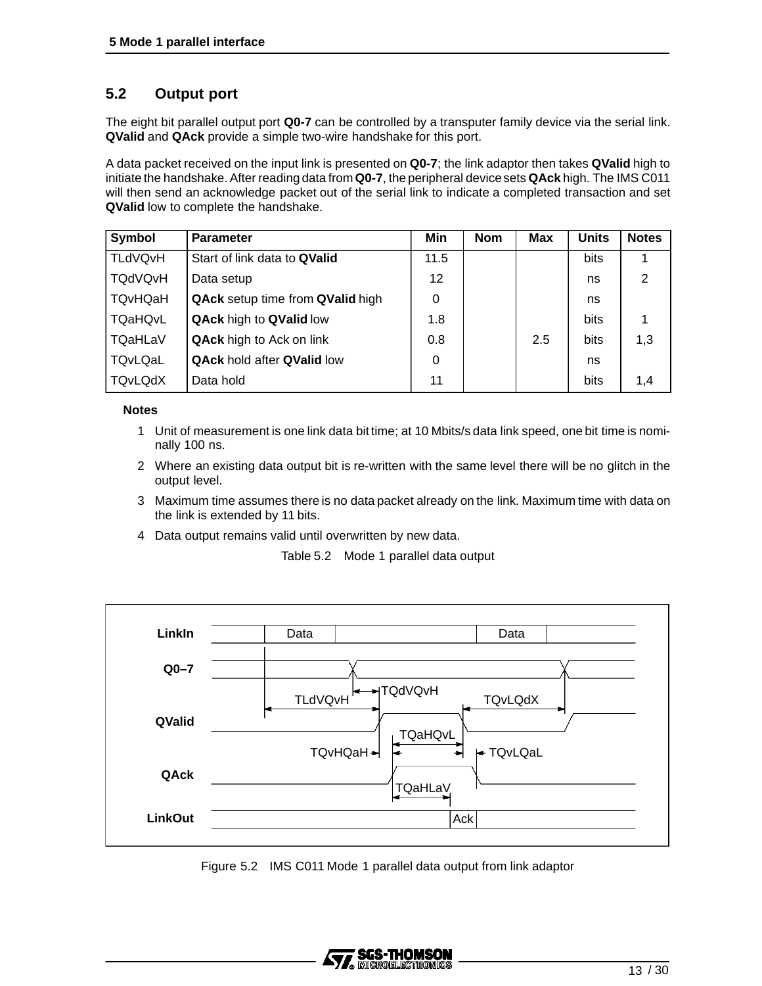## **5.2 Output port**

The eight bit parallel output port **Q0-7** can be controlled by a transputer family device via the serial link. **QValid** and **QAck** provide a simple two-wire handshake for this port.

A data packet received on the input link is presented on **Q0-7**; the link adaptor then takes **QValid** high to initiate the handshake. After reading data from **Q0-7**, the peripheral devicesets **QAck** high. The IMS C011 will then send an acknowledge packet out of the serial link to indicate a completed transaction and set **QValid** low to complete the handshake.

| Symbol         | <b>Parameter</b>                  | Min             | <b>Nom</b> | <b>Max</b> | <b>Units</b> | <b>Notes</b> |
|----------------|-----------------------------------|-----------------|------------|------------|--------------|--------------|
| <b>TLdVQvH</b> | Start of link data to QValid      | 11.5            |            |            | bits         |              |
| <b>TQdVQvH</b> | Data setup                        | 12 <sup>2</sup> |            |            | ns           | 2            |
| <b>TQvHQaH</b> | QAck setup time from QValid high  | 0               |            |            | ns           |              |
| <b>TQaHQvL</b> | <b>QAck high to QValid low</b>    | 1.8             |            |            | bits         |              |
| <b>TQaHLaV</b> | <b>QAck</b> high to Ack on link   | 0.8             |            | 2.5        | bits         | 1,3          |
| TQvLQaL        | <b>QAck hold after QValid low</b> | 0               |            |            | ns           |              |
| <b>TQvLQdX</b> | Data hold                         | 11              |            |            | bits         | 1.4          |

#### **Notes**

- 1 Unit of measurement is one link data bit time; at 10 Mbits/s data link speed, one bit time is nominally 100 ns.
- 2 Where an existing data output bit is re-written with the same level there will be no glitch in the output level.
- 3 Maximum time assumes there is no data packet already on the link. Maximum time with data on the link is extended by 11 bits.
- 4 Data output remains valid until overwritten by new data.

Table 5.2 Mode 1 parallel data output



Figure 5.2 IMS C011 Mode 1 parallel data output from link adaptor

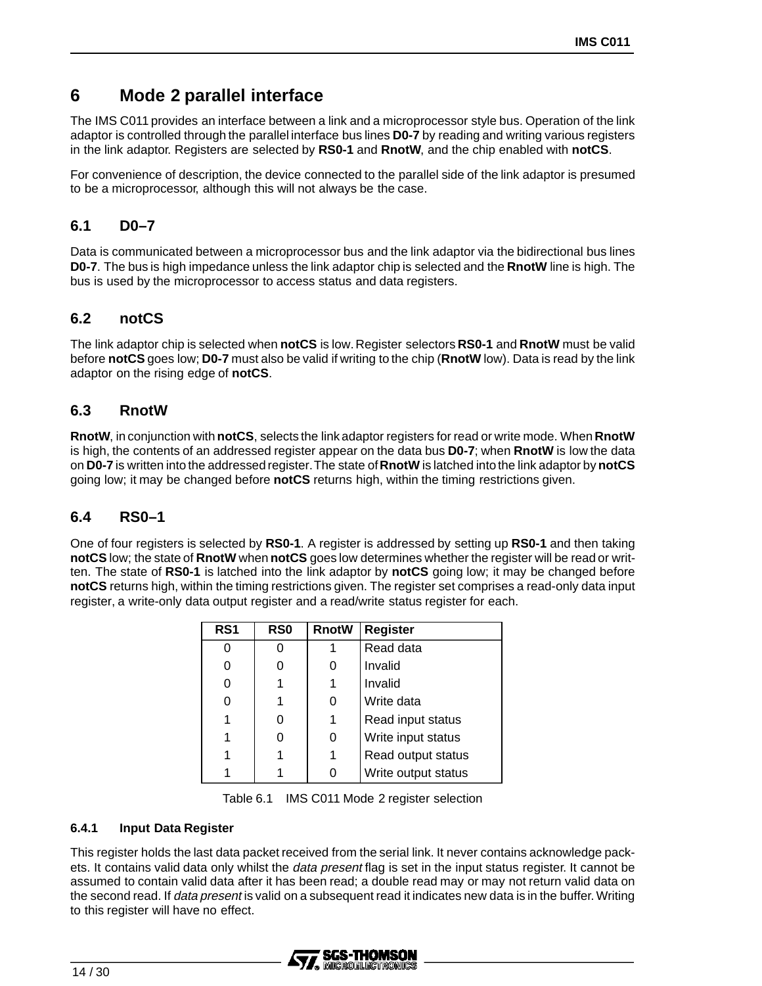## **6 Mode 2 parallel interface**

The IMS C011 provides an interface between a link and a microprocessor style bus. Operation of the link adaptor is controlled through the parallel interface bus lines **D0-7** by reading and writing various registers in the link adaptor. Registers are selected by **RS0-1** and **RnotW**, and the chip enabled with **notCS**.

For convenience of description, the device connected to the parallel side of the link adaptor is presumed to be a microprocessor, although this will not always be the case.

## **6.1 D0–7**

Data is communicated between a microprocessor bus and the link adaptor via the bidirectional bus lines **D0-7**. The bus is high impedance unless the link adaptor chip is selected and the **RnotW** line is high. The bus is used by the microprocessor to access status and data registers.

## **6.2 notCS**

The link adaptor chip is selected when **notCS** is low.Register selectors **RS0-1** and **RnotW** must be valid before **notCS** goes low; **D0-7** must also be valid if writing to the chip (**RnotW** low). Data is read by the link adaptor on the rising edge of **notCS**.

## **6.3 RnotW**

**RnotW**, in conjunction with **notCS**, selects the link adaptor registers for read or write mode. When **RnotW** is high, the contents of an addressed register appear on the data bus **D0-7**; when **RnotW** is low the data on **D0-7** is written into the addressed register.The state of**RnotW** is latched into the link adaptor by **notCS** going low; it may be changed before **notCS** returns high, within the timing restrictions given.

## **6.4 RS0–1**

One of four registers is selected by **RS0-1**. A register is addressed by setting up **RS0-1** and then taking **notCS** low; the state of **RnotW** when **notCS** goes low determines whether the register will be read or written. The state of **RS0-1** is latched into the link adaptor by **notCS** going low; it may be changed before **notCS** returns high, within the timing restrictions given. The register set comprises a read-only data input register, a write-only data output register and a read/write status register for each.

| RS1 | <b>RSO</b> | <b>RnotW</b> | <b>Register</b>     |
|-----|------------|--------------|---------------------|
| 0   |            |              | Read data           |
| 0   |            | 0            | Invalid             |
| 0   |            | 1            | Invalid             |
|     |            | 0            | Write data          |
|     |            | 1            | Read input status   |
|     |            | 0            | Write input status  |
|     |            | 1            | Read output status  |
|     |            | 0            | Write output status |

Table 6.1 IMS C011 Mode 2 register selection

#### **6.4.1 Input Data Register**

This register holds the last data packet received from the serial link. It never contains acknowledge packets. It contains valid data only whilst the *data present* flag is set in the input status register. It cannot be assumed to contain valid data after it has been read; a double read may or may not return valid data on the second read. If data present is valid on a subsequent read it indicates new data is in the buffer. Writing to this register will have no effect.

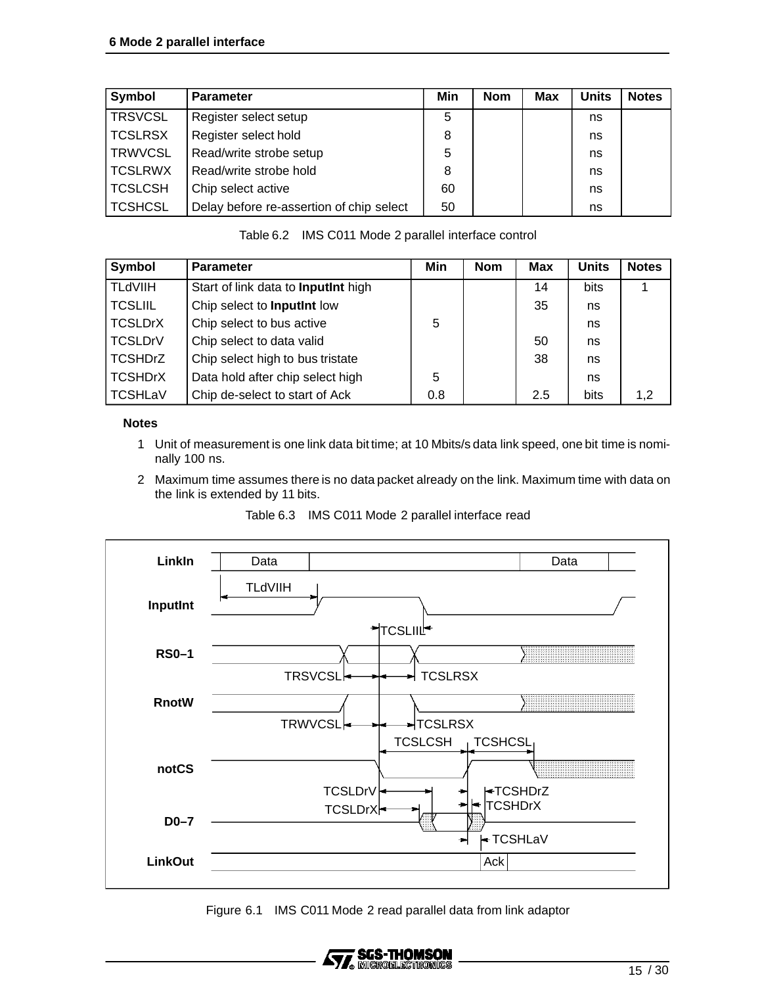| Symbol         | <b>Parameter</b>                         | Min | <b>Nom</b> | <b>Max</b> | <b>Units</b> | <b>Notes</b> |
|----------------|------------------------------------------|-----|------------|------------|--------------|--------------|
| <b>TRSVCSL</b> | Register select setup                    | 5   |            |            | ns           |              |
| <b>TCSLRSX</b> | Register select hold                     | 8   |            |            | ns           |              |
| <b>TRWVCSL</b> | Read/write strobe setup                  | 5   |            |            | ns           |              |
| <b>TCSLRWX</b> | Read/write strobe hold                   | 8   |            |            | ns           |              |
| <b>TCSLCSH</b> | Chip select active                       | 60  |            |            | ns           |              |
| <b>TCSHCSL</b> | Delay before re-assertion of chip select | 50  |            |            | ns           |              |

Table 6.2 IMS C011 Mode 2 parallel interface control

| Symbol         | <b>Parameter</b>                    | Min | <b>Nom</b> | <b>Max</b> | <b>Units</b> | <b>Notes</b> |
|----------------|-------------------------------------|-----|------------|------------|--------------|--------------|
| <b>TLdVIIH</b> | Start of link data to InputInt high |     |            | 14         | bits         |              |
| <b>TCSLIIL</b> | Chip select to InputInt low         |     |            | 35         | ns           |              |
| <b>TCSLDrX</b> | Chip select to bus active           | 5   |            |            | ns           |              |
| <b>TCSLDrV</b> | Chip select to data valid           |     |            | 50         | ns           |              |
| <b>TCSHDrZ</b> | Chip select high to bus tristate    |     |            | 38         | ns           |              |
| <b>TCSHDrX</b> | Data hold after chip select high    | 5   |            |            | ns           |              |
| <b>TCSHLaV</b> | Chip de-select to start of Ack      | 0.8 |            | 2.5        | bits         | 1.2          |

#### **Notes**

- 1 Unit of measurement is one link data bit time; at 10 Mbits/s data link speed, one bit time is nominally 100 ns.
- 2 Maximum time assumes there is no data packet already on the link. Maximum time with data on the link is extended by 11 bits.





Figure 6.1 IMS C011 Mode 2 read parallel data from link adaptor

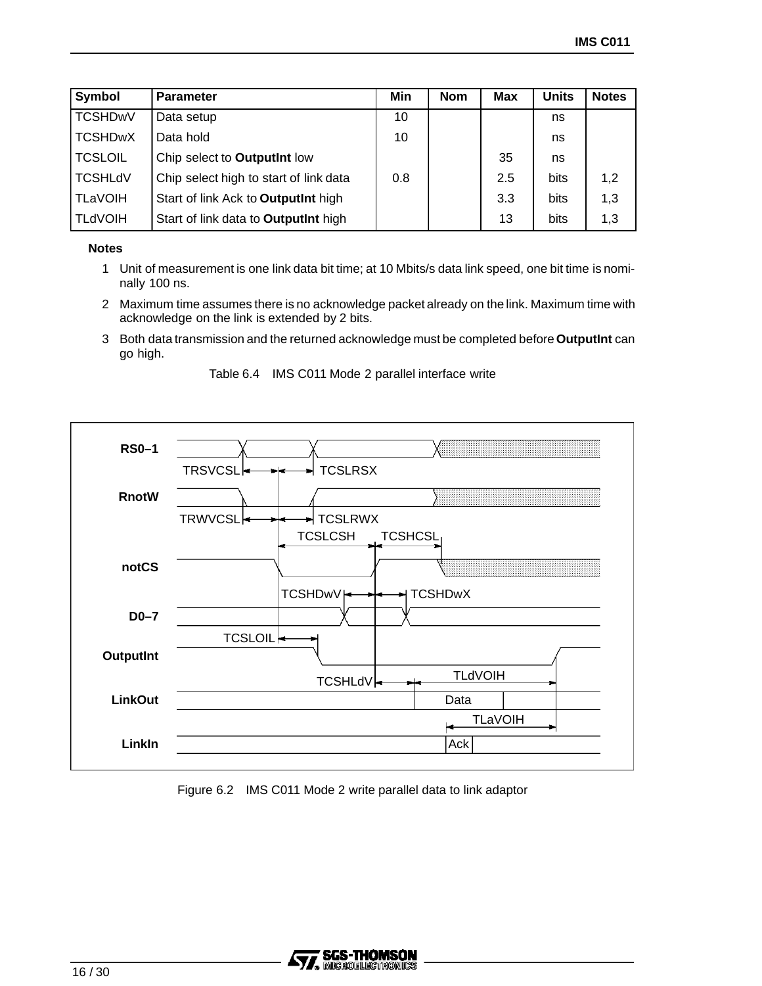| Symbol         | <b>Parameter</b>                       | Min | <b>Nom</b> | <b>Max</b> | <b>Units</b> | <b>Notes</b> |
|----------------|----------------------------------------|-----|------------|------------|--------------|--------------|
| <b>TCSHDwV</b> | Data setup                             | 10  |            |            | ns           |              |
| <b>TCSHDwX</b> | Data hold                              | 10  |            |            | ns           |              |
| <b>TCSLOIL</b> | Chip select to OutputInt low           |     |            | 35         | ns           |              |
| <b>TCSHLdV</b> | Chip select high to start of link data | 0.8 |            | 2.5        | bits         | 1,2          |
| <b>TLaVOIH</b> | Start of link Ack to OutputInt high    |     |            | 3.3        | bits         | 1,3          |
| <b>TLdVOIH</b> | Start of link data to OutputInt high   |     |            | 13         | bits         | 1,3          |

#### **Notes**

- 1 Unit of measurement is one link data bit time; at 10 Mbits/s data link speed, one bit time is nominally 100 ns.
- 2 Maximum time assumes there is no acknowledge packet already on the link. Maximum time with acknowledge on the link is extended by 2 bits.
- 3 Both data transmission and the returned acknowledge must be completed before**OutputInt** can go high.





Figure 6.2 IMS C011 Mode 2 write parallel data to link adaptor

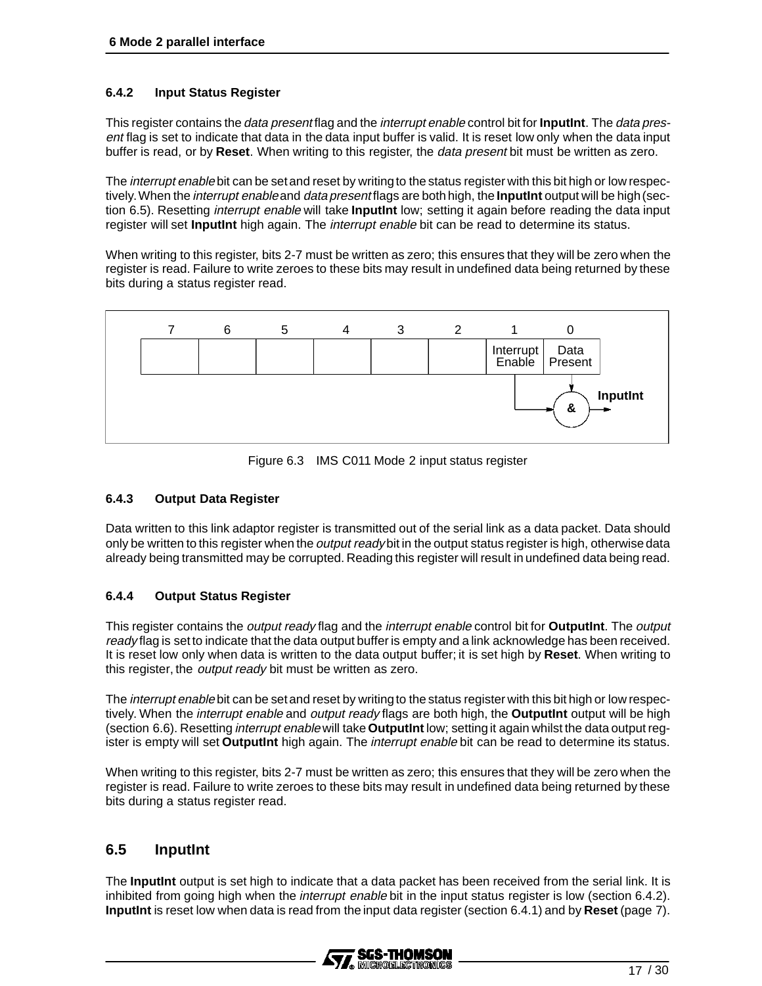#### **6.4.2 Input Status Register**

This register contains the data present flag and the interrupt enable control bit for **InputInt**. The data present flag is set to indicate that data in the data input buffer is valid. It is reset low only when the data input buffer is read, or by **Reset**. When writing to this register, the data present bit must be written as zero.

The *interrupt enable* bit can be set and reset by writing to the status register with this bit high or low respectively.When the interrupt enableand data present flags are both high, the **InputInt** output will be high(section 6.5). Resetting interrupt enable will take **InputInt** low; setting it again before reading the data input register will set **InputInt** high again. The interrupt enable bit can be read to determine its status.

When writing to this register, bits 2-7 must be written as zero; this ensures that they will be zero when the register is read. Failure to write zeroes to these bits may result in undefined data being returned by these bits during a status register read.



Figure 6.3 IMS C011 Mode 2 input status register

#### **6.4.3 Output Data Register**

Data written to this link adaptor register is transmitted out of the serial link as a data packet. Data should only be written to this register when the *output ready* bit in the output status register is high, otherwise data already being transmitted may be corrupted. Reading this register will result in undefined data being read.

#### **6.4.4 Output Status Register**

This register contains the output ready flag and the interrupt enable control bit for **OutputInt**. The output ready flag is set to indicate that the data output buffer is empty and a link acknowledge has been received. It is reset low only when data is written to the data output buffer; it is set high by **Reset**. When writing to this register, the *output ready* bit must be written as zero.

The interrupt enable bit can be set and reset by writing to the status register with this bit high or low respectively. When the interrupt enable and output ready flags are both high, the **OutputInt** output will be high (section 6.6). Resetting interrupt enable will take **OutputInt** low; setting it again whilst the data output register is empty will set **OutputInt** high again. The interrupt enable bit can be read to determine its status.

When writing to this register, bits 2-7 must be written as zero; this ensures that they will be zero when the register is read. Failure to write zeroes to these bits may result in undefined data being returned by these bits during a status register read.

#### **6.5 InputInt**

The **InputInt** output is set high to indicate that a data packet has been received from the serial link. It is inhibited from going high when the *interrupt enable* bit in the input status register is low (section 6.4.2). **InputInt** is reset low when data is read from the input data register (section 6.4.1) and by **Reset** (page 7).

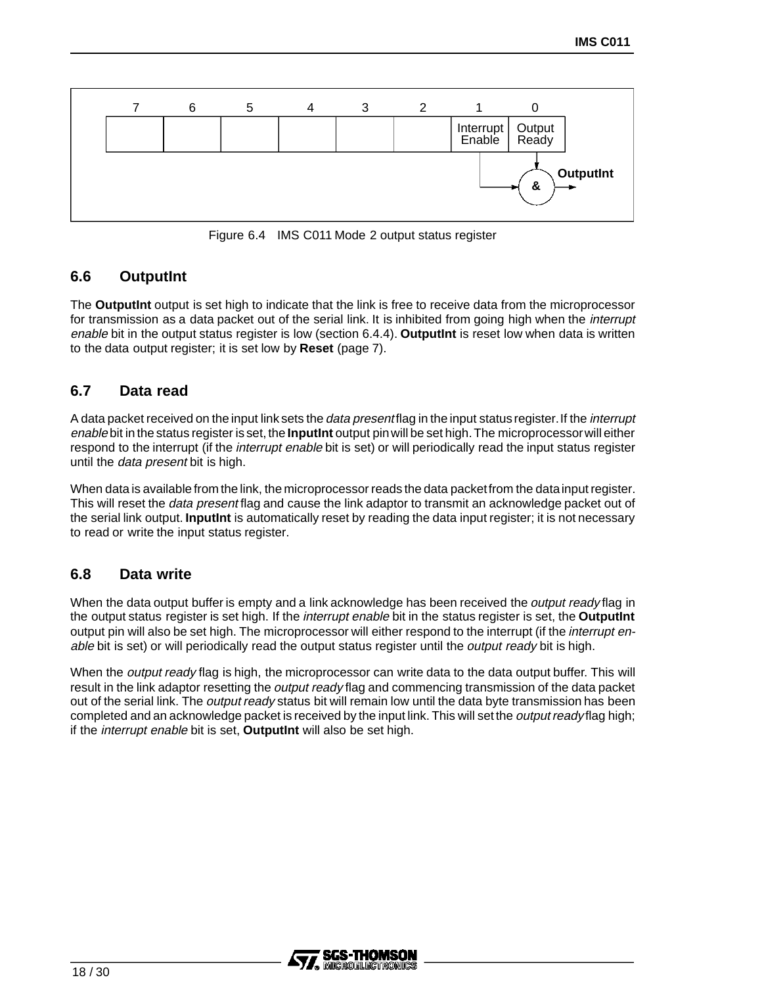

Figure 6.4 IMS C011 Mode 2 output status register

## **6.6 OutputInt**

The **OutputInt** output is set high to indicate that the link is free to receive data from the microprocessor for transmission as a data packet out of the serial link. It is inhibited from going high when the *interrupt* enable bit in the output status register is low (section 6.4.4). **OutputInt** is reset low when data is written to the data output register; it is set low by **Reset** (page 7).

## **6.7 Data read**

A data packet received on the input link sets the *data presentflag* in the input status register. If the *interrupt* enable bit in the status register is set, the **InputInt** output pin will be set high.The microprocessorwill either respond to the interrupt (if the *interrupt enable* bit is set) or will periodically read the input status register until the data present bit is high.

When data is available from the link, the microprocessor reads the data packetfrom the data input register. This will reset the *data present* flag and cause the link adaptor to transmit an acknowledge packet out of the serial link output. **InputInt** is automatically reset by reading the data input register; it is not necessary to read or write the input status register.

#### **6.8 Data write**

When the data output buffer is empty and a link acknowledge has been received the *output ready* flag in the output status register is set high. If the interrupt enable bit in the status register is set, the **OutputInt** output pin will also be set high. The microprocessor will either respond to the interrupt (if the *interrupt en*able bit is set) or will periodically read the output status register until the *output ready* bit is high.

When the *output ready* flag is high, the microprocessor can write data to the data output buffer. This will result in the link adaptor resetting the *output ready* flag and commencing transmission of the data packet out of the serial link. The *output ready* status bit will remain low until the data byte transmission has been completed and an acknowledge packet is received by the input link. This will set the *output ready* flag high; if the interrupt enable bit is set, **OutputInt** will also be set high.

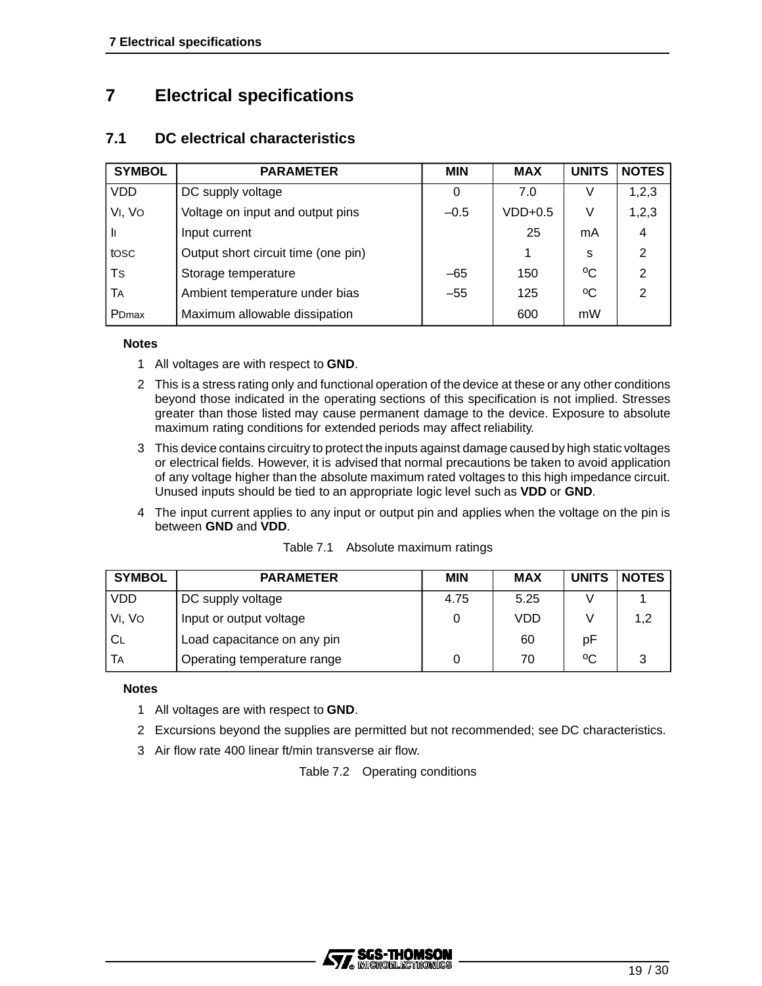## **7 Electrical specifications**

### **7.1 DC electrical characteristics**

| <b>SYMBOL</b>     | <b>PARAMETER</b>                    | <b>MIN</b> | <b>MAX</b> | <b>UNITS</b> | <b>NOTES</b>  |
|-------------------|-------------------------------------|------------|------------|--------------|---------------|
| <b>VDD</b>        | DC supply voltage                   | 0          | 7.0        |              | 1,2,3         |
| VI, VO            | Voltage on input and output pins    | $-0.5$     | $VDD+0.5$  | V            | 1,2,3         |
| Ш                 | Input current                       |            | 25         | mA           | 4             |
| tosc              | Output short circuit time (one pin) |            |            | S            | 2             |
| Ts                | Storage temperature                 | $-65$      | 150        | °C           | $\mathcal{P}$ |
| TA                | Ambient temperature under bias      | $-55$      | 125        | °C           | $\mathcal{P}$ |
| PD <sub>max</sub> | Maximum allowable dissipation       |            | 600        | mW           |               |

#### **Notes**

- 1 All voltages are with respect to **GND**.
- 2 This is a stress rating only and functional operation of the device at these or any other conditions beyond those indicated in the operating sections of this specification is not implied. Stresses greater than those listed may cause permanent damage to the device. Exposure to absolute maximum rating conditions for extended periods may affect reliability.
- 3 This device contains circuitry to protect the inputs against damage caused by high static voltages or electrical fields. However, it is advised that normal precautions be taken to avoid application of any voltage higher than the absolute maximum rated voltages to this high impedance circuit. Unused inputs should be tied to an appropriate logic level such as **VDD** or **GND**.
- 4 The input current applies to any input or output pin and applies when the voltage on the pin is between **GND** and **VDD**.

| <b>SYMBOL</b> | <b>PARAMETER</b>            | <b>MIN</b> | <b>MAX</b> | <b>UNITS</b> | <b>NOTES</b> |
|---------------|-----------------------------|------------|------------|--------------|--------------|
| VDD           | DC supply voltage           | 4.75       | 5.25       |              |              |
| VI, VO        | Input or output voltage     | 0          | <b>VDD</b> |              | 1,2          |
| СL            | Load capacitance on any pin |            | 60         | pF           |              |
| TA            | Operating temperature range |            | 70         | °C           |              |

#### Table 7.1 Absolute maximum ratings

#### **Notes**

- 1 All voltages are with respect to **GND**.
- 2 Excursions beyond the supplies are permitted but not recommended; see DC characteristics.
- 3 Air flow rate 400 linear ft/min transverse air flow.

Table 7.2 Operating conditions

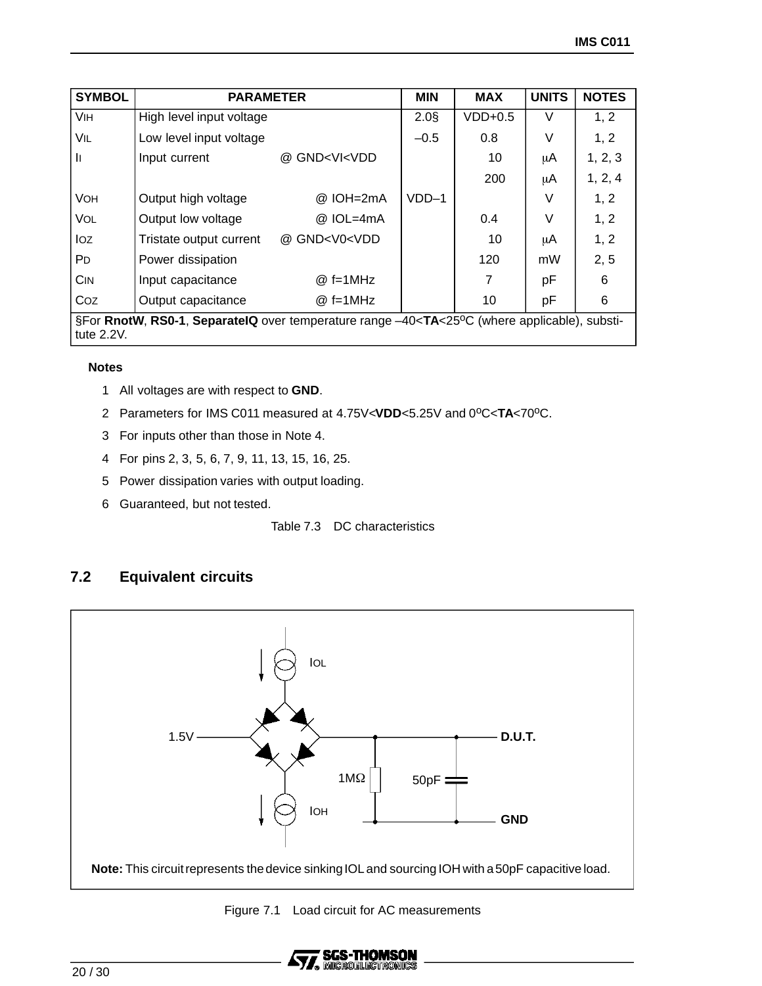| <b>SYMBOL</b>                                                                                                                               | <b>PARAMETER</b>         |                                                                                | <b>MIN</b> | <b>MAX</b> | <b>UNITS</b> | <b>NOTES</b> |
|---------------------------------------------------------------------------------------------------------------------------------------------|--------------------------|--------------------------------------------------------------------------------|------------|------------|--------------|--------------|
| <b>VIH</b>                                                                                                                                  | High level input voltage |                                                                                | $2.0$ §    | $VDD+0.5$  | V            | 1, 2         |
| VIL                                                                                                                                         | Low level input voltage  |                                                                                | $-0.5$     | 0.8        | V            | 1, 2         |
| II.                                                                                                                                         | Input current            | @ GND <vi<vdd< td=""><td></td><td>10</td><td>μA</td><td>1, 2, 3</td></vi<vdd<> |            | 10         | μA           | 1, 2, 3      |
|                                                                                                                                             |                          |                                                                                |            | 200        | μA           | 1, 2, 4      |
| <b>VOH</b>                                                                                                                                  | Output high voltage      | @ IOH=2mA                                                                      | $VDD-1$    |            | $\vee$       | 1, 2         |
| VOL                                                                                                                                         | Output low voltage       | @ IOL=4mA                                                                      |            | 0.4        | V            | 1, 2         |
| loz                                                                                                                                         | Tristate output current  | @ GND <v0<vdd< td=""><td></td><td>10</td><td>μA</td><td>1, 2</td></v0<vdd<>    |            | 10         | μA           | 1, 2         |
| P <sub>D</sub>                                                                                                                              | Power dissipation        |                                                                                |            | 120        | mW           | 2, 5         |
| <b>CIN</b>                                                                                                                                  | Input capacitance        | $@f=1MHz$                                                                      |            | 7          | рF           | 6            |
| Coz                                                                                                                                         | Output capacitance       | $@f=1MHz$                                                                      |            | 10         | рF           | 6            |
| §For RnotW, RS0-1, SeparateIQ over temperature range -40 <ta<25°c (where="" applicable),="" substi-<br="">tute <math>2.2V</math>.</ta<25°c> |                          |                                                                                |            |            |              |              |

#### **Notes**

- 1 All voltages are with respect to **GND**.
- 2 Parameters for IMS C011 measured at 4.75V<VDD<5.25V and 0<sup>o</sup>C<TA<70<sup>o</sup>C.
- 3 For inputs other than those in Note 4.
- 4 For pins 2, 3, 5, 6, 7, 9, 11, 13, 15, 16, 25.
- 5 Power dissipation varies with output loading.
- 6 Guaranteed, but not tested.

Table 7.3 DC characteristics

## **7.2 Equivalent circuits**



Figure 7.1 Load circuit for AC measurements

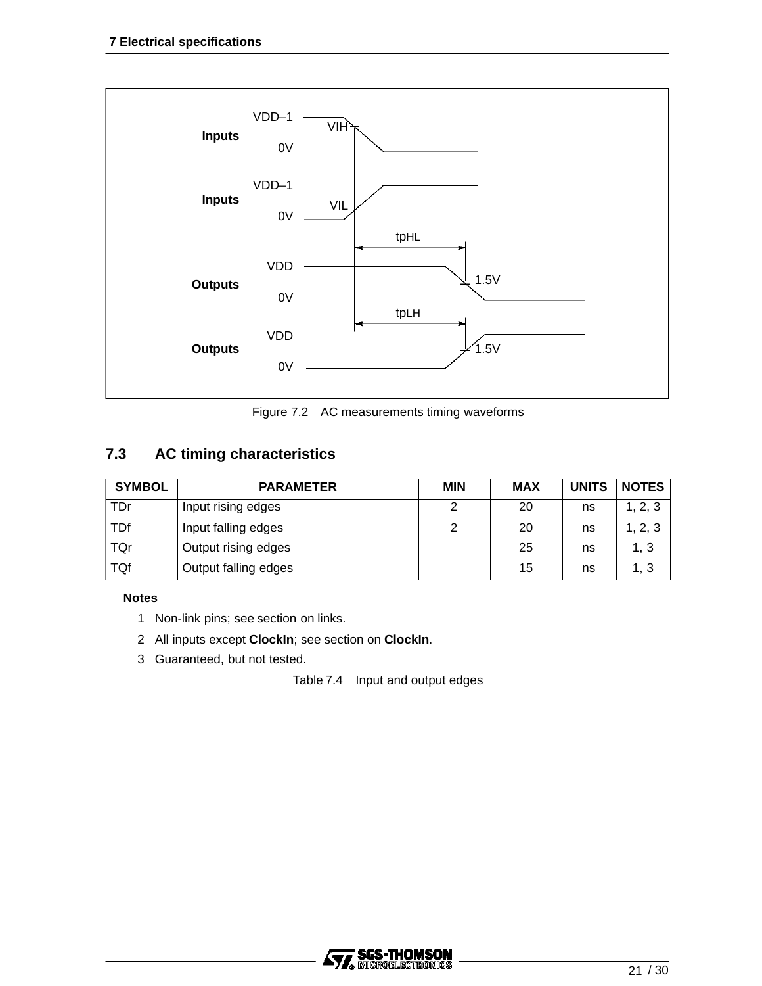

Figure 7.2 AC measurements timing waveforms

## **7.3 AC timing characteristics**

| <b>SYMBOL</b> | <b>PARAMETER</b>     | <b>MIN</b> | <b>MAX</b> | <b>UNITS</b> | NOTES   |
|---------------|----------------------|------------|------------|--------------|---------|
| <b>TDr</b>    | Input rising edges   | 2          | 20         | ns           | 1, 2, 3 |
| <b>TDf</b>    | Input falling edges  | 2          | 20         | ns           | 2, 3    |
| TQr           | Output rising edges  |            | 25         | ns           | 1, 3    |
| TQf           | Output falling edges |            | 15         | ns           | 1, 3    |

#### **Notes**

- 1 Non-link pins; see section on links.
- 2 All inputs except **ClockIn**; see section on **ClockIn**.
- 3 Guaranteed, but not tested.

Table 7.4 Input and output edges

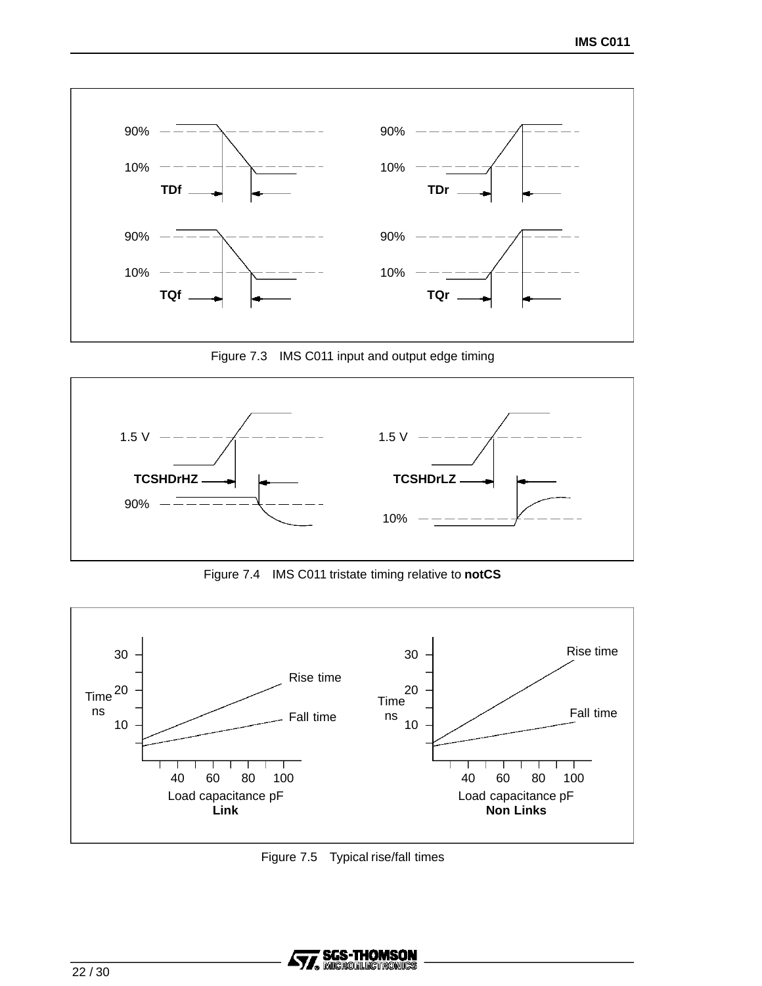

Figure 7.3 IMS C011 input and output edge timing



Figure 7.4 IMS C011 tristate timing relative to **notCS**



Figure 7.5 Typical rise/fall times

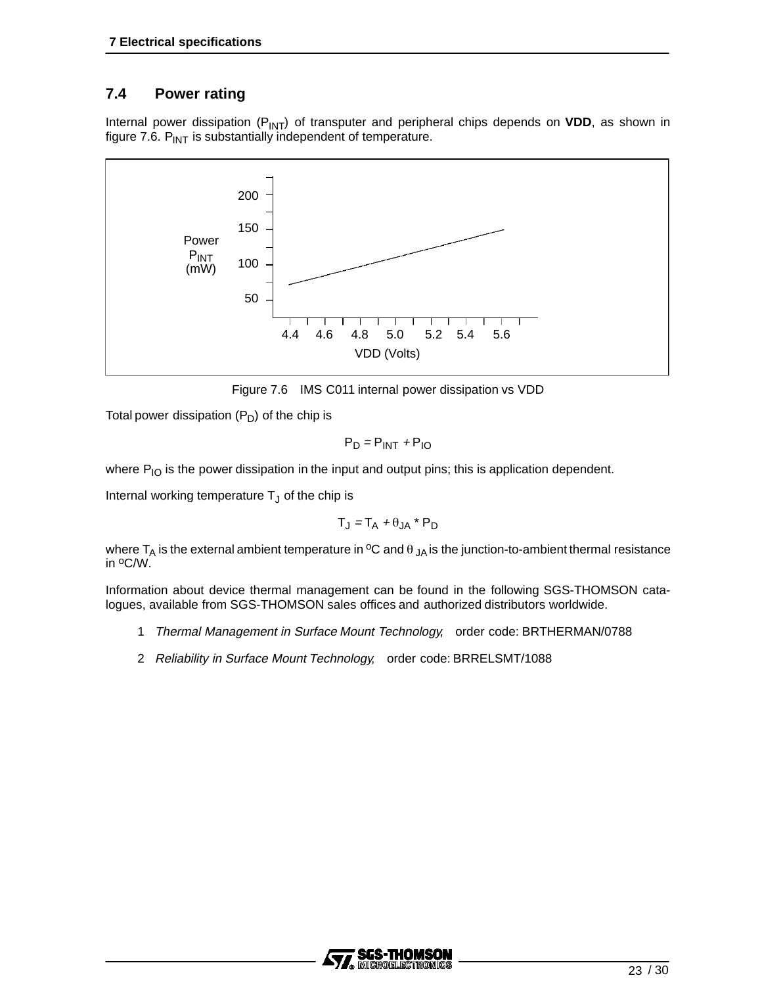## **7.4 Power rating**

Internal power dissipation (P<sub>INT</sub>) of transputer and peripheral chips depends on VDD, as shown in figure 7.6.  $P_{INT}$  is substantially independent of temperature.



Figure 7.6 IMS C011 internal power dissipation vs VDD

Total power dissipation  $(P_D)$  of the chip is

$$
P_D = P_{INT} + P_{IO}
$$

where  $P_{IO}$  is the power dissipation in the input and output pins; this is application dependent.

Internal working temperature  $T_J$  of the chip is

$$
T_J = T_A + \theta_{JA} * P_D
$$

where  $T_A$  is the external ambient temperature in <sup>o</sup>C and  $\theta_{JA}$  is the junction-to-ambient thermal resistance in oC/W.

Information about device thermal management can be found in the following SGS-THOMSON catalogues, available from SGS-THOMSON sales offices and authorized distributors worldwide.

- 1 Thermal Management in Surface Mount Technology, order code: BRTHERMAN/0788
- 2 Reliability in Surface Mount Technology, order code: BRRELSMT/1088

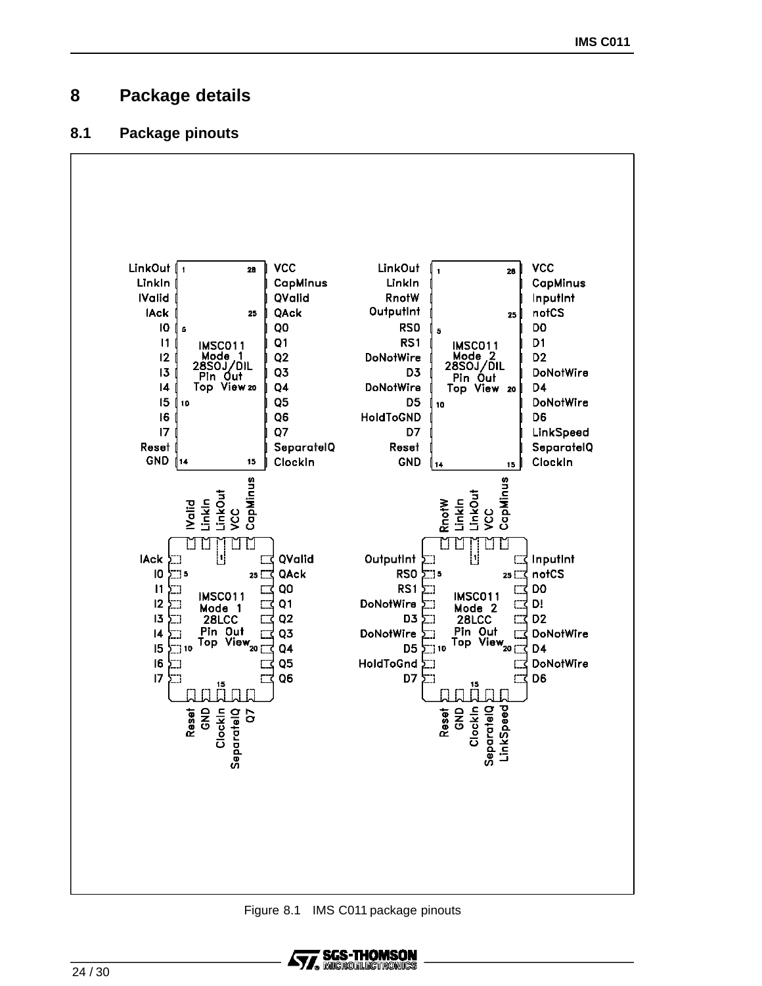## **8 Package details**

### **8.1 Package pinouts**



Figure 8.1 IMS C011 package pinouts

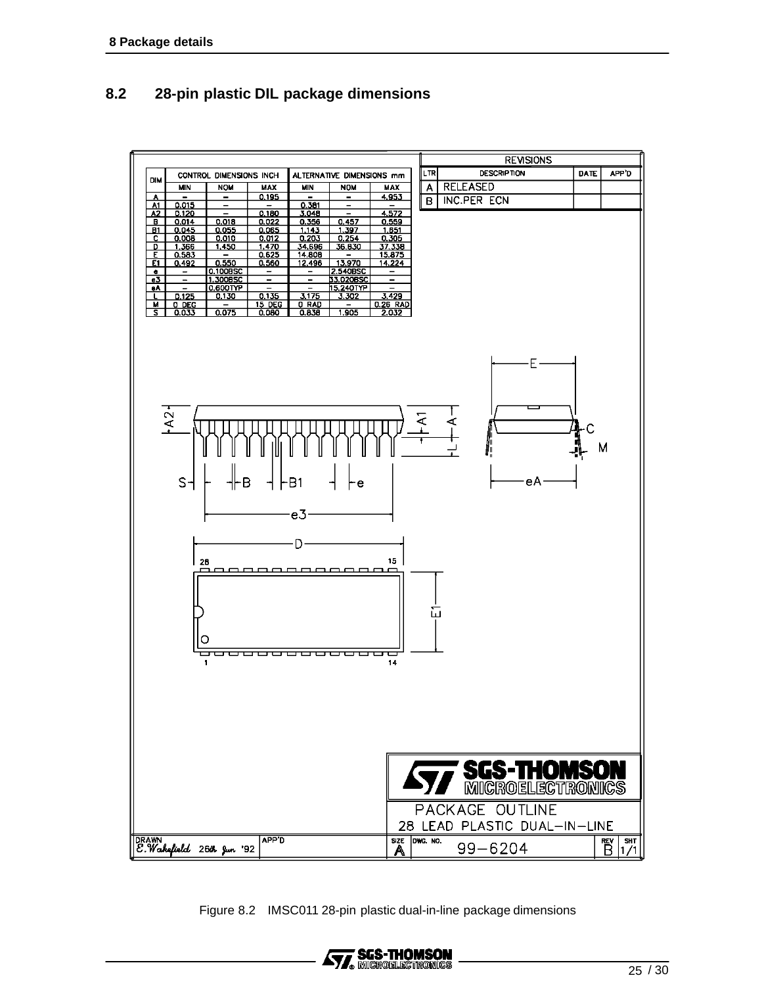## **8.2 28-pin plastic DIL package dimensions**



Figure 8.2 IMSC011 28-pin plastic dual-in-line package dimensions

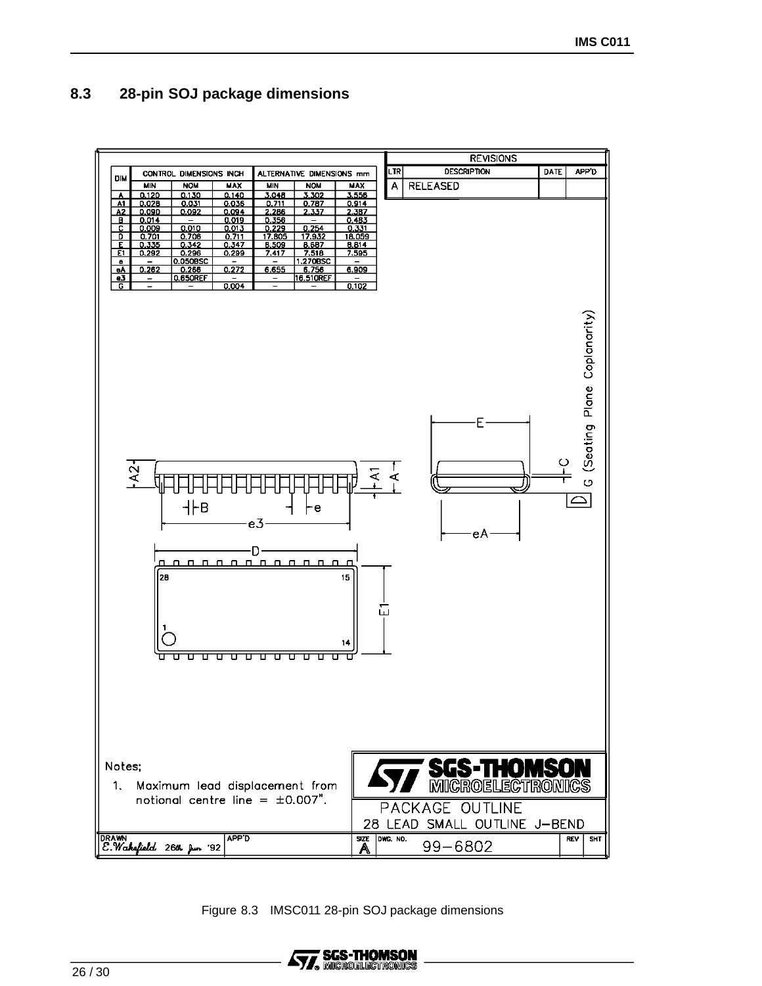## **8.3 28-pin SOJ package dimensions**



Figure 8.3 IMSC011 28-pin SOJ package dimensions

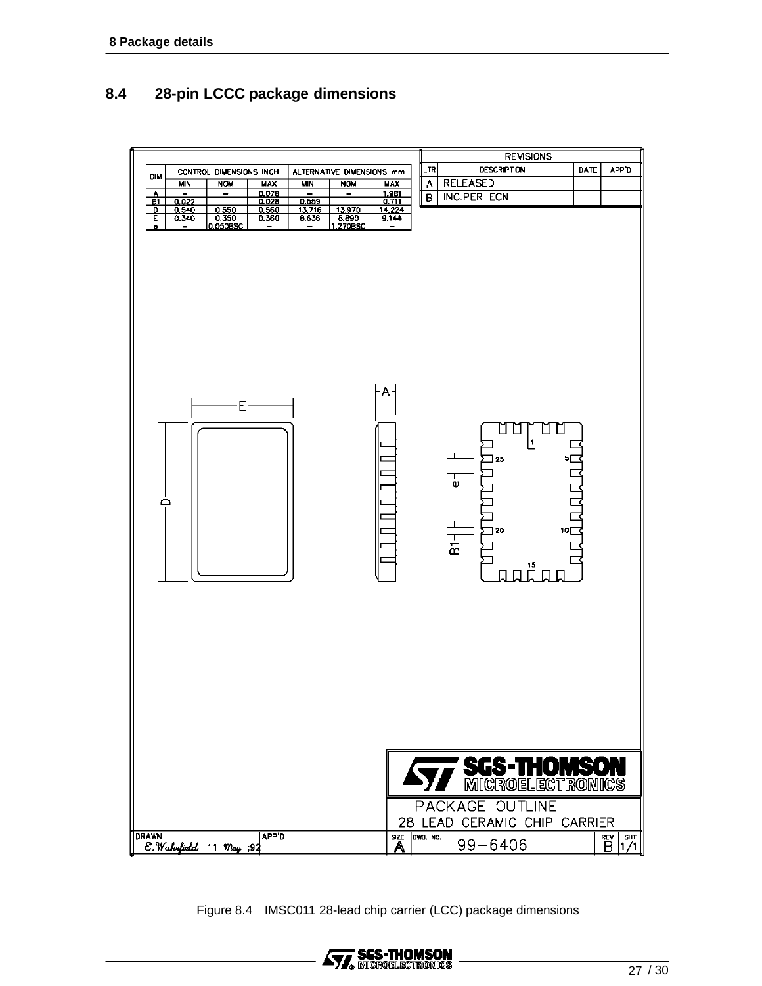## **8.4 28-pin LCCC package dimensions**



Figure 8.4 IMSC011 28-lead chip carrier (LCC) package dimensions

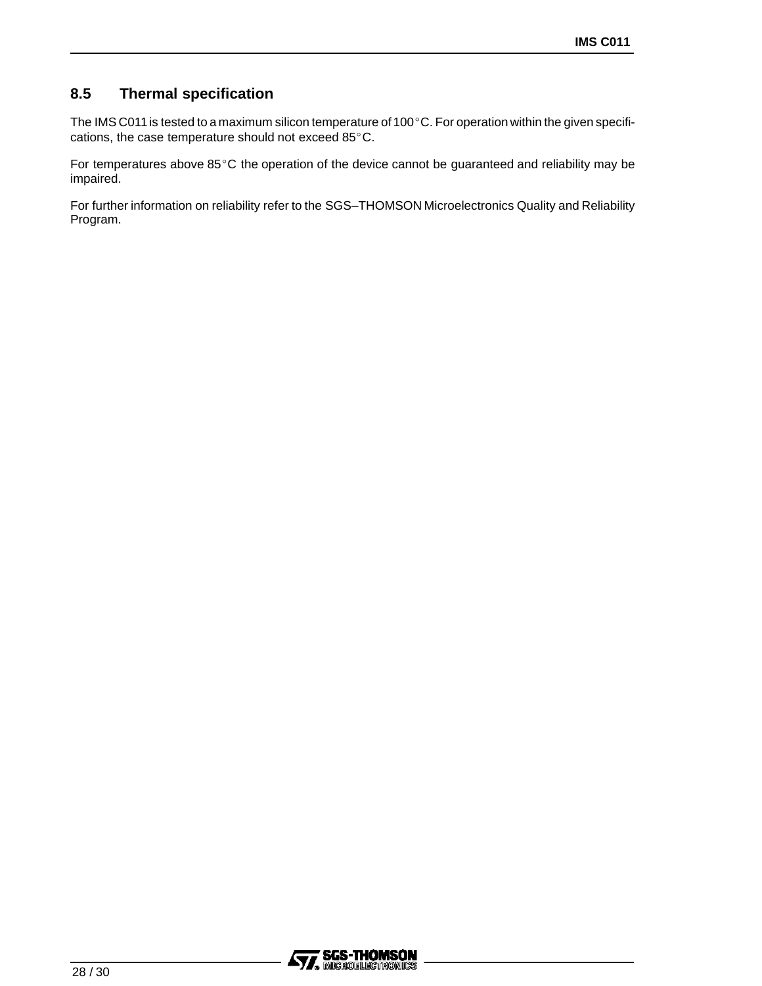## **8.5 Thermal specification**

The IMS C011 is tested to a maximum silicon temperature of 100 $^{\circ}$ C. For operation within the given specifications, the case temperature should not exceed 85°C.

For temperatures above  $85^{\circ}$ C the operation of the device cannot be guaranteed and reliability may be impaired.

For further information on reliability refer to the SGS–THOMSON Microelectronics Quality and Reliability Program.

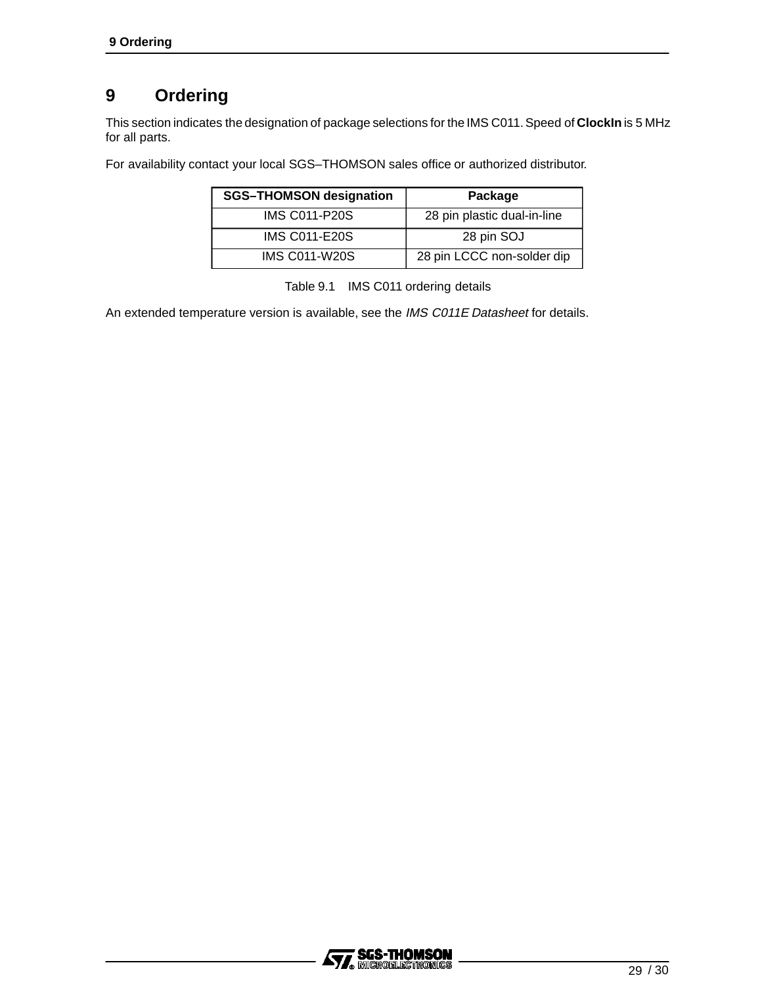## **9 Ordering**

This section indicates the designation of package selections for the IMS C011.Speed of **ClockIn** is 5 MHz for all parts.

For availability contact your local SGS–THOMSON sales office or authorized distributor.

| <b>SGS-THOMSON designation</b> | Package                     |
|--------------------------------|-----------------------------|
| <b>IMS C011-P20S</b>           | 28 pin plastic dual-in-line |
| <b>IMS C011-E20S</b>           | 28 pin SOJ                  |
| <b>IMS C011-W20S</b>           | 28 pin LCCC non-solder dip  |

Table 9.1 IMS C011 ordering details

An extended temperature version is available, see the IMS C011E Datasheet for details.